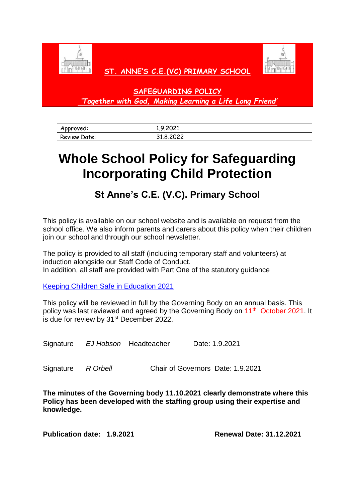



# **ST. ANNE'S C.E.(VC) PRIMARY SCHOOL**

**SAFEGUARDING POLICY** *'Together with God, Making Learning a Life Long Friend'*

| Approved:    | 1.9.2021                    |
|--------------|-----------------------------|
| Review Date: | 2022<br>$\circ$<br>これ.こんひんん |

# **Whole School Policy for Safeguarding Incorporating Child Protection**

# **St Anne's C.E. (V.C). Primary School**

This policy is available on our school website and is available on request from the school office. We also inform parents and carers about this policy when their children join our school and through our school newsletter.

The policy is provided to all staff (including temporary staff and volunteers) at induction alongside our Staff Code of Conduct. In addition, all staff are provided with Part One of the statutory guidance

[Keeping Children Safe in Education 2021](https://assets.publishing.service.gov.uk/government/uploads/system/uploads/attachment_data/file/1007260/Keeping_children_safe_in_education_2021.pdf)

This policy will be reviewed in full by the Governing Body on an annual basis. This policy was last reviewed and agreed by the Governing Body on 11<sup>th</sup> October 2021. It is due for review by 31<sup>st</sup> December 2022.

Signature *EJ Hobson* Headteacher Date: 1.9.2021

Signature *R Orbell* Chair of Governors Date: 1.9.2021

**The minutes of the Governing body 11.10.2021 clearly demonstrate where this Policy has been developed with the staffing group using their expertise and knowledge.**

**Publication date: 1.9.2021 Renewal Date: 31.12.2021**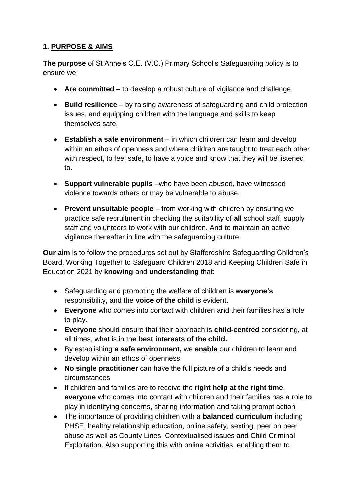# **1. PURPOSE & AIMS**

**The purpose** of St Anne's C.E. (V.C.) Primary School's Safeguarding policy is to ensure we:

- **Are committed**  to develop a robust culture of vigilance and challenge.
- **Build resilience**  by raising awareness of safeguarding and child protection issues, and equipping children with the language and skills to keep themselves safe.
- **Establish a safe environment**  in which children can learn and develop within an ethos of openness and where children are taught to treat each other with respect, to feel safe, to have a voice and know that they will be listened to.
- **Support vulnerable pupils** –who have been abused, have witnessed violence towards others or may be vulnerable to abuse.
- **Prevent unsuitable people**  from working with children by ensuring we practice safe recruitment in checking the suitability of **all** school staff, supply staff and volunteers to work with our children. And to maintain an active vigilance thereafter in line with the safeguarding culture.

**Our aim** is to follow the procedures set out by Staffordshire Safeguarding Children's Board, Working Together to Safeguard Children 2018 and Keeping Children Safe in Education 2021 by **knowing** and **understanding** that:

- Safeguarding and promoting the welfare of children is **everyone's** responsibility, and the **voice of the child** is evident.
- **Everyone** who comes into contact with children and their families has a role to play.
- **Everyone** should ensure that their approach is **child-centred** considering, at all times, what is in the **best interests of the child.**
- By establishing **a safe environment,** we **enable** our children to learn and develop within an ethos of openness.
- **No single practitioner** can have the full picture of a child's needs and circumstances
- If children and families are to receive the **right help at the right time**, **everyone** who comes into contact with children and their families has a role to play in identifying concerns, sharing information and taking prompt action
- The importance of providing children with a **balanced curriculum** including PHSE, healthy relationship education, online safety, sexting, peer on peer abuse as well as County Lines, Contextualised issues and Child Criminal Exploitation. Also supporting this with online activities, enabling them to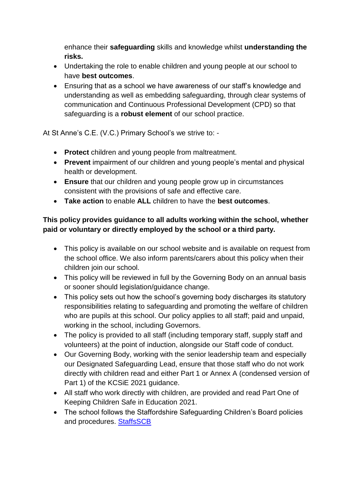enhance their **safeguarding** skills and knowledge whilst **understanding the risks.**

- Undertaking the role to enable children and young people at our school to have **best outcomes**.
- Ensuring that as a school we have awareness of our staff's knowledge and understanding as well as embedding safeguarding, through clear systems of communication and Continuous Professional Development (CPD) so that safeguarding is a **robust element** of our school practice.

At St Anne's C.E. (V.C.) Primary School's we strive to: -

- **Protect** children and young people from maltreatment.
- **Prevent** impairment of our children and young people's mental and physical health or development.
- **Ensure** that our children and young people grow up in circumstances consistent with the provisions of safe and effective care.
- **Take action** to enable **ALL** children to have the **best outcomes**.

# **This policy provides guidance to all adults working within the school, whether paid or voluntary or directly employed by the school or a third party.**

- This policy is available on our school website and is available on request from the school office. We also inform parents/carers about this policy when their children join our school.
- This policy will be reviewed in full by the Governing Body on an annual basis or sooner should legislation/guidance change.
- This policy sets out how the school's governing body discharges its statutory responsibilities relating to safeguarding and promoting the welfare of children who are pupils at this school. Our policy applies to all staff: paid and unpaid, working in the school, including Governors.
- The policy is provided to all staff (including temporary staff, supply staff and volunteers) at the point of induction, alongside our Staff code of conduct.
- Our Governing Body, working with the senior leadership team and especially our Designated Safeguarding Lead, ensure that those staff who do not work directly with children read and either Part 1 or Annex A (condensed version of Part 1) of the KCSiE 2021 guidance.
- All staff who work directly with children, are provided and read Part One of Keeping Children Safe in Education 2021.
- The school follows the Staffordshire Safeguarding Children's Board policies and procedures. [StaffsSCB](https://www.staffsscb.org.uk/)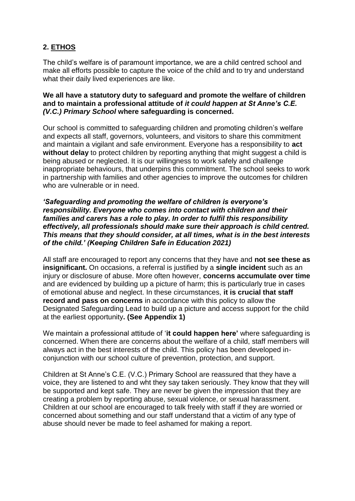# **2. ETHOS**

The child's welfare is of paramount importance, we are a child centred school and make all efforts possible to capture the voice of the child and to try and understand what their daily lived experiences are like.

#### **We all have a statutory duty to safeguard and promote the welfare of children and to maintain a professional attitude of** *it could happen at St Anne's C.E. (V.C.) Primary School* **where safeguarding is concerned.**

Our school is committed to safeguarding children and promoting children's welfare and expects all staff, governors, volunteers, and visitors to share this commitment and maintain a vigilant and safe environment. Everyone has a responsibility to **act without delay** to protect children by reporting anything that might suggest a child is being abused or neglected. It is our willingness to work safely and challenge inappropriate behaviours, that underpins this commitment. The school seeks to work in partnership with families and other agencies to improve the outcomes for children who are vulnerable or in need.

#### *'Safeguarding and promoting the welfare of children is everyone's responsibility. Everyone who comes into contact with children and their families and carers has a role to play. In order to fulfil this responsibility effectively, all professionals should make sure their approach is child centred. This means that they should consider, at all times, what is in the best interests of the child.' (Keeping Children Safe in Education 2021)*

All staff are encouraged to report any concerns that they have and **not see these as insignificant.** On occasions, a referral is justified by a **single incident** such as an injury or disclosure of abuse. More often however, **concerns accumulate over time** and are evidenced by building up a picture of harm; this is particularly true in cases of emotional abuse and neglect. In these circumstances, **it is crucial that staff record and pass on concerns** in accordance with this policy to allow the Designated Safeguarding Lead to build up a picture and access support for the child at the earliest opportunity**. (See Appendix 1)**

We maintain a professional attitude of '**it could happen here'** where safeguarding is concerned. When there are concerns about the welfare of a child, staff members will always act in the best interests of the child. This policy has been developed inconjunction with our school culture of prevention, protection, and support.

Children at St Anne's C.E. (V.C.) Primary School are reassured that they have a voice, they are listened to and wht they say taken seriously. They know that they will be supported and kept safe. They are never be given the impression that they are creating a problem by reporting abuse, sexual violence, or sexual harassment. Children at our school are encouraged to talk freely with staff if they are worried or concerned about something and our staff understand that a victim of any type of abuse should never be made to feel ashamed for making a report.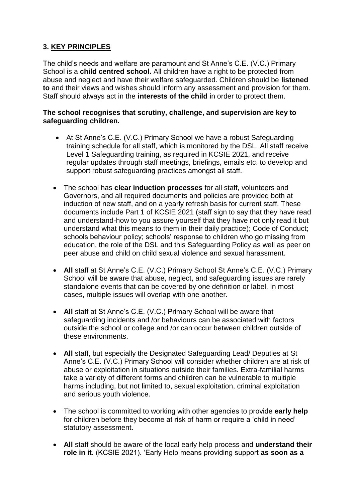# **3. KEY PRINCIPLES**

The child's needs and welfare are paramount and St Anne's C.E. (V.C.) Primary School is a **child centred school.** All children have a right to be protected from abuse and neglect and have their welfare safeguarded. Children should be **listened to** and their views and wishes should inform any assessment and provision for them. Staff should always act in the **interests of the child** in order to protect them.

#### **The school recognises that scrutiny, challenge, and supervision are key to safeguarding children.**

- At St Anne's C.E. (V.C.) Primary School we have a robust Safeguarding training schedule for all staff, which is monitored by the DSL. All staff receive Level 1 Safeguarding training, as required in KCSIE 2021, and receive regular updates through staff meetings, briefings, emails etc. to develop and support robust safeguarding practices amongst all staff.
- The school has **clear induction processes** for all staff, volunteers and Governors, and all required documents and policies are provided both at induction of new staff, and on a yearly refresh basis for current staff. These documents include Part 1 of KCSIE 2021 (staff sign to say that they have read and understand-how to you assure yourself that they have not only read it but understand what this means to them in their daily practice); Code of Conduct; schools behaviour policy; schools' response to children who go missing from education, the role of the DSL and this Safeguarding Policy as well as peer on peer abuse and child on child sexual violence and sexual harassment.
- **All** staff at St Anne's C.E. (V.C.) Primary School St Anne's C.E. (V.C.) Primary School will be aware that abuse, neglect, and safeguarding issues are rarely standalone events that can be covered by one definition or label. In most cases, multiple issues will overlap with one another.
- **All** staff at St Anne's C.E. (V.C.) Primary School will be aware that safeguarding incidents and /or behaviours can be associated with factors outside the school or college and /or can occur between children outside of these environments.
- **All** staff, but especially the Designated Safeguarding Lead/ Deputies at St Anne's C.E. (V.C.) Primary School will consider whether children are at risk of abuse or exploitation in situations outside their families. Extra-familial harms take a variety of different forms and children can be vulnerable to multiple harms including, but not limited to, sexual exploitation, criminal exploitation and serious youth violence.
- The school is committed to working with other agencies to provide **early help** for children before they become at risk of harm or require a 'child in need' statutory assessment.
- **All** staff should be aware of the local early help process and **understand their role in it**. (KCSIE 2021). 'Early Help means providing support **as soon as a**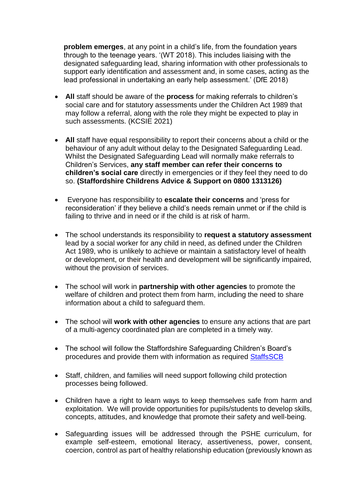**problem emerges**, at any point in a child's life, from the foundation years through to the teenage years. '(WT 2018). This includes liaising with the designated safeguarding lead, sharing information with other professionals to support early identification and assessment and, in some cases, acting as the lead professional in undertaking an early help assessment.' (DfE 2018)

- **All** staff should be aware of the **process** for making referrals to children's social care and for statutory assessments under the Children Act 1989 that may follow a referral, along with the role they might be expected to play in such assessments. (KCSIE 2021)
- **All** staff have equal responsibility to report their concerns about a child or the behaviour of any adult without delay to the Designated Safeguarding Lead. Whilst the Designated Safeguarding Lead will normally make referrals to Children's Services, **any staff member can refer their concerns to children's social care** directly in emergencies or if they feel they need to do so. **(Staffordshire Childrens Advice & Support on 0800 1313126)**
- Everyone has responsibility to **escalate their concerns** and 'press for reconsideration' if they believe a child's needs remain unmet or if the child is failing to thrive and in need or if the child is at risk of harm.
- The school understands its responsibility to **request a statutory assessment** lead by a social worker for any child in need, as defined under the Children Act 1989, who is unlikely to achieve or maintain a satisfactory level of health or development, or their health and development will be significantly impaired, without the provision of services.
- The school will work in **partnership with other agencies** to promote the welfare of children and protect them from harm, including the need to share information about a child to safeguard them.
- The school will **work with other agencies** to ensure any actions that are part of a multi-agency coordinated plan are completed in a timely way.
- The school will follow the Staffordshire Safeguarding Children's Board's procedures and provide them with information as required [StaffsSCB](https://www.staffsscb.org.uk/)
- Staff, children, and families will need support following child protection processes being followed.
- Children have a right to learn ways to keep themselves safe from harm and exploitation. We will provide opportunities for pupils/students to develop skills, concepts, attitudes, and knowledge that promote their safety and well-being.
- Safeguarding issues will be addressed through the PSHE curriculum, for example self-esteem, emotional literacy, assertiveness, power, consent, coercion, control as part of healthy relationship education (previously known as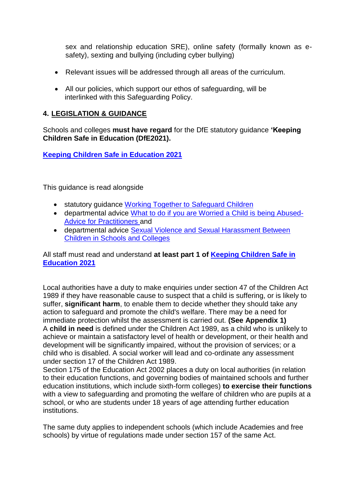sex and relationship education SRE), online safety (formally known as esafety), sexting and bullying (including cyber bullying)

- Relevant issues will be addressed through all areas of the curriculum.
- All our policies, which support our ethos of safeguarding, will be interlinked with this Safeguarding Policy.

# **4. LEGISLATION & GUIDANCE**

Schools and colleges **must have regard** for the DfE statutory guidance **'Keeping Children Safe in Education (DfE2021).** 

**[Keeping Children Safe in Education 2021](https://assets.publishing.service.gov.uk/government/uploads/system/uploads/attachment_data/file/1007260/Keeping_children_safe_in_education_2021.pdf)**

This guidance is read alongside

- statutory guidance [Working Together to](https://assets.publishing.service.gov.uk/government/uploads/system/uploads/attachment_data/file/942454/Working_together_to_safeguard_children_inter_agency_guidance.pdf) Safeguard Children
- departmental advice [What to do if you are Worried a Child is](https://assets.publishing.service.gov.uk/government/uploads/system/uploads/attachment_data/file/419604/What_to_do_if_you_re_worried_a_child_is_being_abused.pdf) being Abused-[Advice for Practitioners a](https://assets.publishing.service.gov.uk/government/uploads/system/uploads/attachment_data/file/419604/What_to_do_if_you_re_worried_a_child_is_being_abused.pdf)nd
- departmental advice [Sexual Violence and Sexual Harassment Between](https://assets.publishing.service.gov.uk/government/uploads/system/uploads/attachment_data/file/999239/SVSH_2021.pdf)  [Children in Schools and Colleges](https://assets.publishing.service.gov.uk/government/uploads/system/uploads/attachment_data/file/999239/SVSH_2021.pdf)

All staff must read and understand **at least part 1 of [Keeping Children Safe in](https://assets.publishing.service.gov.uk/government/uploads/system/uploads/attachment_data/file/1007260/Keeping_children_safe_in_education_2021.pdf)  [Education 2021](https://assets.publishing.service.gov.uk/government/uploads/system/uploads/attachment_data/file/1007260/Keeping_children_safe_in_education_2021.pdf)**

Local authorities have a duty to make enquiries under section 47 of the Children Act 1989 if they have reasonable cause to suspect that a child is suffering, or is likely to suffer, **significant harm**, to enable them to decide whether they should take any action to safeguard and promote the child's welfare. There may be a need for immediate protection whilst the assessment is carried out. **(See Appendix 1)** A **child in need** is defined under the Children Act 1989, as a child who is unlikely to achieve or maintain a satisfactory level of health or development, or their health and development will be significantly impaired, without the provision of services; or a child who is disabled. A social worker will lead and co-ordinate any assessment under section 17 of the Children Act 1989.

Section 175 of the Education Act 2002 places a duty on local authorities (in relation to their education functions, and governing bodies of maintained schools and further education institutions, which include sixth-form colleges) **to exercise their functions** with a view to safeguarding and promoting the welfare of children who are pupils at a school, or who are students under 18 years of age attending further education institutions.

The same duty applies to independent schools (which include Academies and free schools) by virtue of regulations made under section 157 of the same Act.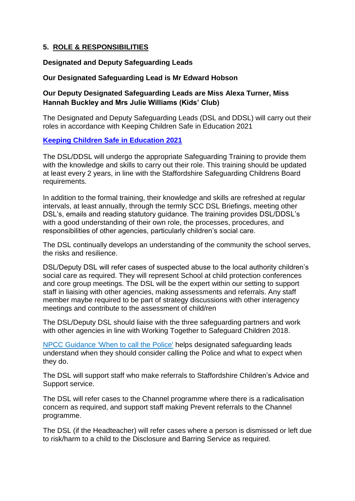# **5. ROLE & RESPONSIBILITIES**

#### **Designated and Deputy Safeguarding Leads**

#### **Our Designated Safeguarding Lead is Mr Edward Hobson**

# **Our Deputy Designated Safeguarding Leads are Miss Alexa Turner, Miss Hannah Buckley and Mrs Julie Williams (Kids' Club)**

The Designated and Deputy Safeguarding Leads (DSL and DDSL) will carry out their roles in accordance with Keeping Children Safe in Education 2021

#### **[Keeping Children Safe in Education 2021](https://assets.publishing.service.gov.uk/government/uploads/system/uploads/attachment_data/file/1007260/Keeping_children_safe_in_education_2021.pdf)**

The DSL/DDSL will undergo the appropriate Safeguarding Training to provide them with the knowledge and skills to carry out their role. This training should be updated at least every 2 years, in line with the Staffordshire Safeguarding Childrens Board requirements.

In addition to the formal training, their knowledge and skills are refreshed at regular intervals, at least annually, through the termly SCC DSL Briefings, meeting other DSL's, emails and reading statutory guidance. The training provides DSL/DDSL's with a good understanding of their own role, the processes, procedures, and responsibilities of other agencies, particularly children's social care.

The DSL continually develops an understanding of the community the school serves, the risks and resilience.

DSL/Deputy DSL will refer cases of suspected abuse to the local authority children's social care as required. They will represent School at child protection conferences and core group meetings. The DSL will be the expert within our setting to support staff in liaising with other agencies, making assessments and referrals. Any staff member maybe required to be part of strategy discussions with other interagency meetings and contribute to the assessment of child/ren

The DSL/Deputy DSL should liaise with the three safeguarding partners and work with other agencies in line with Working Together to Safeguard Children 2018.

[NPCC Guidance 'When to call the Police'](https://www.npcc.police.uk/documents/Children%20and%20Young%20people/When%20to%20call%20police%20guidance%20for%20schools%20and%20colleges.pdf) helps designated safeguarding leads understand when they should consider calling the Police and what to expect when they do.

The DSL will support staff who make referrals to Staffordshire Children's Advice and Support service.

The DSL will refer cases to the Channel programme where there is a radicalisation concern as required, and support staff making Prevent referrals to the Channel programme.

The DSL (if the Headteacher) will refer cases where a person is dismissed or left due to risk/harm to a child to the Disclosure and Barring Service as required.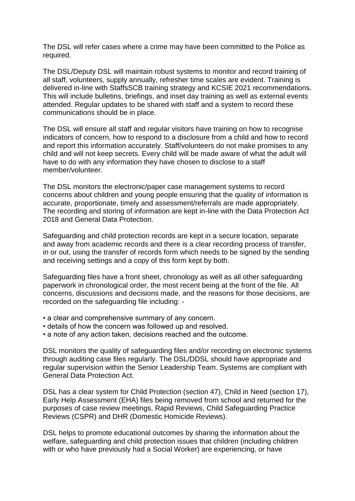The DSL will refer cases where a crime may have been committed to the Police as required.

The DSL/Deputy DSL will maintain robust systems to monitor and record training of all staff, volunteers, supply annually, refresher time scales are evident. Training is delivered in-line with StaffsSCB training strategy and KCSIE 2021 recommendations. This will include bulletins, briefings, and inset day training as well as external events attended. Regular updates to be shared with staff and a system to record these communications should be in place.

The DSL will ensure all staff and regular visitors have training on how to recognise indicators of concern, how to respond to a disclosure from a child and how to record and report this information accurately. Staff/volunteers do not make promises to any child and will not keep secrets. Every child will be made aware of what the adult will have to do with any information they have chosen to disclose to a staff member/volunteer.

The DSL monitors the electronic/paper case management systems to record concerns about children and young people ensuring that the quality of information is accurate, proportionate, timely and assessment/referrals are made appropriately. The recording and storing of information are kept in-line with the Data Protection Act 2018 and General Data Protection.

Safeguarding and child protection records are kept in a secure location, separate and away from academic records and there is a clear recording process of transfer, in or out, using the transfer of records form which needs to be signed by the sending and receiving settings and a copy of this form kept by both.

Safeguarding files have a front sheet, chronology as well as all other safeguarding paperwork in chronological order, the most recent being at the front of the file. All concerns, discussions and decisions made, and the reasons for those decisions, are recorded on the safeguarding file including: -

- a clear and comprehensive summary of any concern.
- details of how the concern was followed up and resolved.
- a note of any action taken, decisions reached and the outcome.

DSL monitors the quality of safeguarding files and/or recording on electronic systems through auditing case files regularly. The DSL/DDSL should have appropriate and regular supervision within the Senior Leadership Team. Systems are compliant with General Data Protection Act.

DSL has a clear system for Child Protection (section 47), Child in Need (section 17), Early Help Assessment (EHA) files being removed from school and returned for the purposes of case review meetings, Rapid Reviews, Child Safeguarding Practice Reviews (CSPR) and DHR (Domestic Homicide Reviews).

DSL helps to promote educational outcomes by sharing the information about the welfare, safeguarding and child protection issues that children (including children with or who have previously had a Social Worker) are experiencing, or have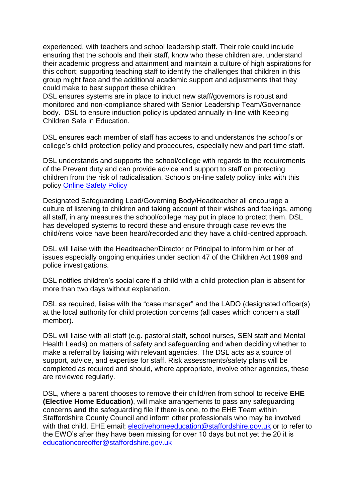experienced, with teachers and school leadership staff. Their role could include ensuring that the schools and their staff, know who these children are, understand their academic progress and attainment and maintain a culture of high aspirations for this cohort; supporting teaching staff to identify the challenges that children in this group might face and the additional academic support and adjustments that they could make to best support these children

DSL ensures systems are in place to induct new staff/governors is robust and monitored and non-compliance shared with Senior Leadership Team/Governance body. DSL to ensure induction policy is updated annually in-line with Keeping Children Safe in Education.

DSL ensures each member of staff has access to and understands the school's or college's child protection policy and procedures, especially new and part time staff.

DSL understands and supports the school/college with regards to the requirements of the Prevent duty and can provide advice and support to staff on protecting children from the risk of radicalisation. Schools on-line safety policy links with this policy Online [Safety P](https://www.st-annes-brownedge.staffs.sch.uk/school-policies)olic[y](https://a604b434-aefb-4c50-a9bc-6a21a5ab3cdd.filesusr.com/ugd/cac643_5abac4def0084db1999026cc75010ba9.pdf)

Designated Safeguarding Lead/Governing Body/Headteacher all encourage a culture of listening to children and taking account of their wishes and feelings, among all staff, in any measures the school/college may put in place to protect them. DSL has developed systems to record these and ensure through case reviews the child/rens voice have been heard/recorded and they have a child-centred approach.

DSL will liaise with the Headteacher/Director or Principal to inform him or her of issues especially ongoing enquiries under section 47 of the Children Act 1989 and police investigations.

DSL notifies children's social care if a child with a child protection plan is absent for more than two days without explanation.

DSL as required, liaise with the "case manager" and the LADO (designated officer(s) at the local authority for child protection concerns (all cases which concern a staff member).

DSL will liaise with all staff (e.g. pastoral staff, school nurses, SEN staff and Mental Health Leads) on matters of safety and safeguarding and when deciding whether to make a referral by liaising with relevant agencies. The DSL acts as a source of support, advice, and expertise for staff. Risk assessments/safety plans will be completed as required and should, where appropriate, involve other agencies, these are reviewed regularly.

DSL, where a parent chooses to remove their child/ren from school to receive **EHE (Elective Home Education)**, will make arrangements to pass any safeguarding concerns **and** the safeguarding file if there is one, to the EHE Team within Staffordshire County Council and inform other professionals who may be involved with that child. EHE email; [electivehomeeducation@staffordshire.gov.uk](mailto:electivehomeeducation@staffordshire.gov.uk) or to refer to the EWO's after they have been missing for over 10 days but not yet the 20 it is [educationcoreoffer@staffordshire.gov.uk](mailto:educationcoreoffer@staffordshire.gov.uk)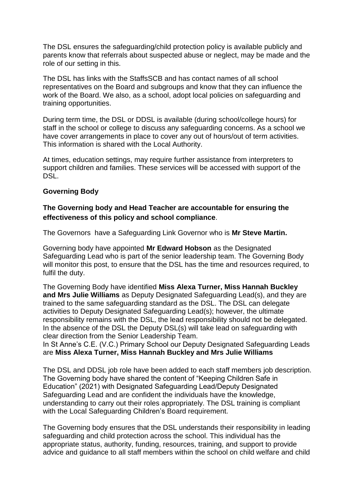The DSL ensures the safeguarding/child protection policy is available publicly and parents know that referrals about suspected abuse or neglect, may be made and the role of our setting in this.

The DSL has links with the StaffsSCB and has contact names of all school representatives on the Board and subgroups and know that they can influence the work of the Board. We also, as a school, adopt local policies on safeguarding and training opportunities.

During term time, the DSL or DDSL is available (during school/college hours) for staff in the school or college to discuss any safeguarding concerns. As a school we have cover arrangements in place to cover any out of hours/out of term activities. This information is shared with the Local Authority.

At times, education settings, may require further assistance from interpreters to support children and families. These services will be accessed with support of the **DSL.** 

#### **Governing Body**

# **The Governing body and Head Teacher are accountable for ensuring the effectiveness of this policy and school compliance**.

The Governors have a Safeguarding Link Governor who is **Mr Steve Martin.**

Governing body have appointed **Mr Edward Hobson** as the Designated Safeguarding Lead who is part of the senior leadership team. The Governing Body will monitor this post, to ensure that the DSL has the time and resources required, to fulfil the duty.

The Governing Body have identified **Miss Alexa Turner, Miss Hannah Buckley and Mrs Julie Williams** as Deputy Designated Safeguarding Lead(s), and they are trained to the same safeguarding standard as the DSL. The DSL can delegate activities to Deputy Designated Safeguarding Lead(s); however, the ultimate responsibility remains with the DSL, the lead responsibility should not be delegated. In the absence of the DSL the Deputy DSL(s) will take lead on safeguarding with clear direction from the Senior Leadership Team.

In St Anne's C.E. (V.C.) Primary School our Deputy Designated Safeguarding Leads are **Miss Alexa Turner, Miss Hannah Buckley and Mrs Julie Williams**

The DSL and DDSL job role have been added to each staff members job description. The Governing body have shared the content of "Keeping Children Safe in Education" (2021) with Designated Safeguarding Lead/Deputy Designated Safeguarding Lead and are confident the individuals have the knowledge, understanding to carry out their roles appropriately. The DSL training is compliant with the Local Safeguarding Children's Board requirement.

The Governing body ensures that the DSL understands their responsibility in leading safeguarding and child protection across the school. This individual has the appropriate status, authority, funding, resources, training, and support to provide advice and guidance to all staff members within the school on child welfare and child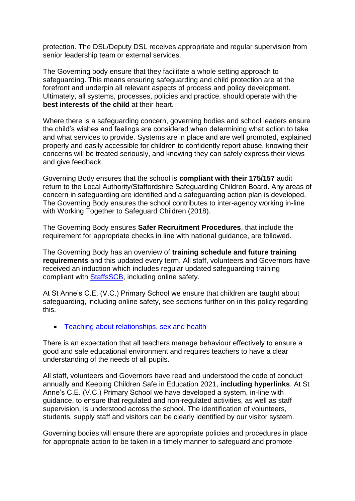protection. The DSL/Deputy DSL receives appropriate and regular supervision from senior leadership team or external services.

The Governing body ensure that they facilitate a whole setting approach to safeguarding. This means ensuring safeguarding and child protection are at the forefront and underpin all relevant aspects of process and policy development. Ultimately, all systems, processes, policies and practice, should operate with the **best interests of the child** at their heart.

Where there is a safeguarding concern, governing bodies and school leaders ensure the child's wishes and feelings are considered when determining what action to take and what services to provide. Systems are in place and are well promoted, explained properly and easily accessible for children to confidently report abuse, knowing their concerns will be treated seriously, and knowing they can safely express their views and give feedback.

Governing Body ensures that the school is **compliant with their 175/157** audit return to the Local Authority/Staffordshire Safeguarding Children Board. Any areas of concern in safeguarding are identified and a safeguarding action plan is developed. The Governing Body ensures the school contributes to inter-agency working in-line with Working Together to Safeguard Children (2018).

The Governing Body ensures **Safer Recruitment Procedures**, that include the requirement for appropriate checks in line with national guidance, are followed.

The Governing Body has an overview of **training schedule and future training requirements** and this updated every term. All staff, volunteers and Governors have received an induction which includes regular updated safeguarding training compliant with [StaffsSCB,](https://www.staffsscb.org.uk/) including online safety.

At St Anne's C.E. (V.C.) Primary School we ensure that children are taught about safeguarding, including online safety, see sections further on in this policy regarding this.

• [Teaching about relationships, sex and health](https://www.gov.uk/guidance/teaching-about-relationships-sex-and-health)

There is an expectation that all teachers manage behaviour effectively to ensure a good and safe educational environment and requires teachers to have a clear understanding of the needs of all pupils.

All staff, volunteers and Governors have read and understood the code of conduct annually and Keeping Children Safe in Education 2021, **including hyperlinks**. At St Anne's C.E. (V.C.) Primary School we have developed a system, in-line with guidance, to ensure that regulated and non-regulated activities, as well as staff supervision, is understood across the school. The identification of volunteers, students, supply staff and visitors can be clearly identified by our visitor system.

Governing bodies will ensure there are appropriate policies and procedures in place for appropriate action to be taken in a timely manner to safeguard and promote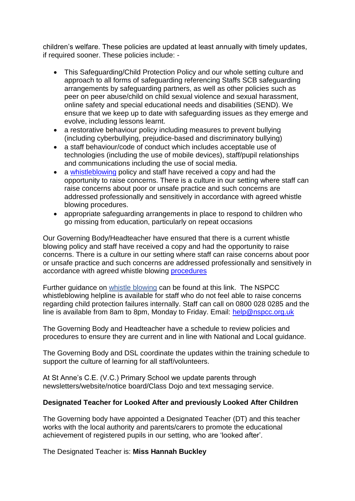children's welfare. These policies are updated at least annually with timely updates, if required sooner. These policies include: -

- This Safeguarding/Child Protection Policy and our whole setting culture and approach to all forms of safeguarding referencing Staffs SCB safeguarding arrangements by safeguarding partners, as well as other policies such as peer on peer abuse/child on child sexual violence and sexual harassment, online safety and special educational needs and disabilities (SEND). We ensure that we keep up to date with safeguarding issues as they emerge and evolve, including lessons learnt.
- a restorative behaviour policy including measures to prevent bullying (including cyberbullying, prejudice-based and discriminatory bullying)
- a staff behaviour/code of conduct which includes acceptable use of technologies (including the use of mobile devices), staff/pupil relationships and communications including the use of social media.
- a [whistleblowing](https://a604b434-aefb-4c50-a9bc-6a21a5ab3cdd.filesusr.com/ugd/cac643_e8634c525a5541bcb5edfaec90952648.pdf) policy and staff have received a copy and had the opportunity to raise concerns. There is a culture in our setting where staff can raise concerns about poor or unsafe practice and such concerns are addressed professionally and sensitively in accordance with agreed whistle blowing procedures.
- appropriate safeguarding arrangements in place to respond to children who go missing from education, particularly on repeat occasions

Our Governing Body/Headteacher have ensured that there is a current whistle blowing policy and staff have received a copy and had the opportunity to raise concerns. There is a culture in our setting where staff can raise concerns about poor or unsafe practice and such concerns are addressed professionally and sensitively in accordance with agreed whistle blowing [procedures](https://a604b434-aefb-4c50-a9bc-6a21a5ab3cdd.filesusr.com/ugd/cac643_e8634c525a5541bcb5edfaec90952648.pdf)

Further guidance on [whistle blowing](https://www.gov.uk/whistleblowing) can be found at this link. The NSPCC whistleblowing helpline is available for staff who do not feel able to raise concerns regarding child protection failures internally. Staff can call on 0800 028 0285 and the line is available from 8am to 8pm, Monday to Friday. Email: [help@nspcc.org.uk](mailto:help@nspcc.org.uk)

The Governing Body and Headteacher have a schedule to review policies and procedures to ensure they are current and in line with National and Local guidance.

The Governing Body and DSL coordinate the updates within the training schedule to support the culture of learning for all staff/volunteers.

At St Anne's C.E. (V.C.) Primary School we update parents through newsletters/website/notice board/Class Dojo and text messaging service.

#### **Designated Teacher for Looked After and previously Looked After Children**

The Governing body have appointed a Designated Teacher (DT) and this teacher works with the local authority and parents/carers to promote the educational achievement of registered pupils in our setting, who are 'looked after'.

The Designated Teacher is: **Miss Hannah Buckley**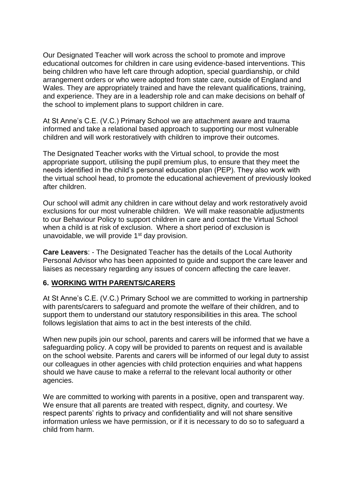Our Designated Teacher will work across the school to promote and improve educational outcomes for children in care using evidence-based interventions. This being children who have left care through adoption, special guardianship, or child arrangement orders or who were adopted from state care, outside of England and Wales. They are appropriately trained and have the relevant qualifications, training, and experience. They are in a leadership role and can make decisions on behalf of the school to implement plans to support children in care.

At St Anne's C.E. (V.C.) Primary School we are attachment aware and trauma informed and take a relational based approach to supporting our most vulnerable children and will work restoratively with children to improve their outcomes.

The Designated Teacher works with the Virtual school, to provide the most appropriate support, utilising the pupil premium plus, to ensure that they meet the needs identified in the child's personal education plan (PEP). They also work with the virtual school head, to promote the educational achievement of previously looked after children.

Our school will admit any children in care without delay and work restoratively avoid exclusions for our most vulnerable children. We will make reasonable adjustments to our Behaviour Policy to support children in care and contact the Virtual School when a child is at risk of exclusion. Where a short period of exclusion is unavoidable, we will provide 1st day provision.

**Care Leavers**: - The Designated Teacher has the details of the Local Authority Personal Advisor who has been appointed to guide and support the care leaver and liaises as necessary regarding any issues of concern affecting the care leaver.

# **6. WORKING WITH PARENTS/CARERS**

At St Anne's C.E. (V.C.) Primary School we are committed to working in partnership with parents/carers to safeguard and promote the welfare of their children, and to support them to understand our statutory responsibilities in this area. The school follows legislation that aims to act in the best interests of the child.

When new pupils join our school, parents and carers will be informed that we have a safeguarding policy. A copy will be provided to parents on request and is available on the school website. Parents and carers will be informed of our legal duty to assist our colleagues in other agencies with child protection enquiries and what happens should we have cause to make a referral to the relevant local authority or other agencies.

We are committed to working with parents in a positive, open and transparent way. We ensure that all parents are treated with respect, dignity, and courtesy. We respect parents' rights to privacy and confidentiality and will not share sensitive information unless we have permission, or if it is necessary to do so to safeguard a child from harm.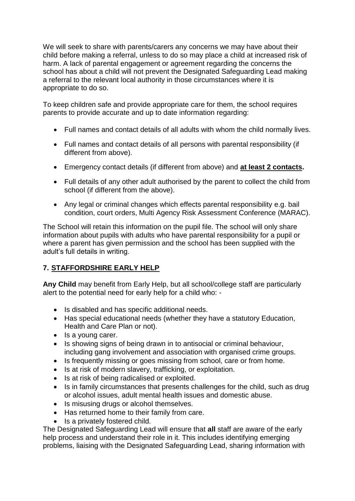We will seek to share with parents/carers any concerns we may have about their child before making a referral, unless to do so may place a child at increased risk of harm. A lack of parental engagement or agreement regarding the concerns the school has about a child will not prevent the Designated Safeguarding Lead making a referral to the relevant local authority in those circumstances where it is appropriate to do so.

To keep children safe and provide appropriate care for them, the school requires parents to provide accurate and up to date information regarding:

- Full names and contact details of all adults with whom the child normally lives.
- Full names and contact details of all persons with parental responsibility (if different from above).
- Emergency contact details (if different from above) and **at least 2 contacts.**
- Full details of any other adult authorised by the parent to collect the child from school (if different from the above).
- Any legal or criminal changes which effects parental responsibility e.g. bail condition, court orders, Multi Agency Risk Assessment Conference (MARAC).

The School will retain this information on the pupil file. The school will only share information about pupils with adults who have parental responsibility for a pupil or where a parent has given permission and the school has been supplied with the adult's full details in writing.

# **7. STAFFORDSHIRE EARLY HELP**

**Any Child** may benefit from Early Help, but all school/college staff are particularly alert to the potential need for early help for a child who: -

- Is disabled and has specific additional needs.
- Has special educational needs (whether they have a statutory Education, Health and Care Plan or not).
- Is a young carer.
- Is showing signs of being drawn in to antisocial or criminal behaviour, including gang involvement and association with organised crime groups.
- Is frequently missing or goes missing from school, care or from home.
- Is at risk of modern slavery, trafficking, or exploitation.
- Is at risk of being radicalised or exploited.
- Is in family circumstances that presents challenges for the child, such as drug or alcohol issues, adult mental health issues and domestic abuse.
- Is misusing drugs or alcohol themselves.
- Has returned home to their family from care.
- Is a privately fostered child.

The Designated Safeguarding Lead will ensure that **all** staff are aware of the early help process and understand their role in it. This includes identifying emerging problems, liaising with the Designated Safeguarding Lead, sharing information with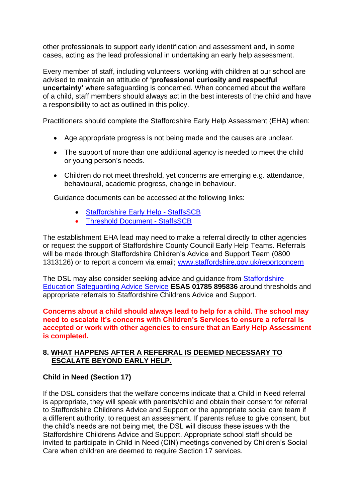other professionals to support early identification and assessment and, in some cases, acting as the lead professional in undertaking an early help assessment.

Every member of staff, including volunteers, working with children at our school are advised to maintain an attitude of **'professional curiosity and respectful uncertainty'** where safeguarding is concerned. When concerned about the welfare of a child, staff members should always act in the best interests of the child and have a responsibility to act as outlined in this policy.

Practitioners should complete the Staffordshire Early Help Assessment (EHA) when:

- Age appropriate progress is not being made and the causes are unclear.
- The support of more than one additional agency is needed to meet the child or young person's needs.
- Children do not meet threshold, yet concerns are emerging e.g. attendance, behavioural, academic progress, change in behaviour.

Guidance documents can be accessed at the following links:

- [Staffordshire Early Help -](https://www.staffsscb.org.uk/working-together-to-safeguard-children/early-help-strategy/staffordshire-early-help/) StaffsSCB
- [Threshold Document -](https://www.staffsscb.org.uk/wp-content/uploads/2020/09/Threshold-Document.pdf) StaffsSCB

The establishment EHA lead may need to make a referral directly to other agencies or request the support of Staffordshire County Council Early Help Teams. Referrals will be made through Staffordshire Children's Advice and Support Team (0800 1313126) or to report a concern via email; [www.staffordshire.gov.uk/reportconcern](http://www.staffordshire.gov.uk/reportconcern)

The DSL may also consider seeking advice and guidance from [Staffordshire](https://www.staffordshire.gov.uk/Care-for-children-and-families/Childprotection/Education-Safegiuarding-Advice-Service.aspx)  [Education Safeguarding Advice Service](https://www.staffordshire.gov.uk/Care-for-children-and-families/Childprotection/Education-Safegiuarding-Advice-Service.aspx) **ESAS 01785 895836** around thresholds and appropriate referrals to Staffordshire Childrens Advice and Support.

**Concerns about a child should always lead to help for a child. The school may need to escalate it's concerns with Children's Services to ensure a referral is accepted or work with other agencies to ensure that an Early Help Assessment is completed.**

# **8. WHAT HAPPENS AFTER A REFERRAL IS DEEMED NECESSARY TO ESCALATE BEYOND EARLY HELP.**

#### **Child in Need (Section 17)**

If the DSL considers that the welfare concerns indicate that a Child in Need referral is appropriate, they will speak with parents/child and obtain their consent for referral to Staffordshire Childrens Advice and Support or the appropriate social care team if a different authority, to request an assessment. If parents refuse to give consent, but the child's needs are not being met, the DSL will discuss these issues with the Staffordshire Childrens Advice and Support. Appropriate school staff should be invited to participate in Child in Need (CIN) meetings convened by Children's Social Care when children are deemed to require Section 17 services.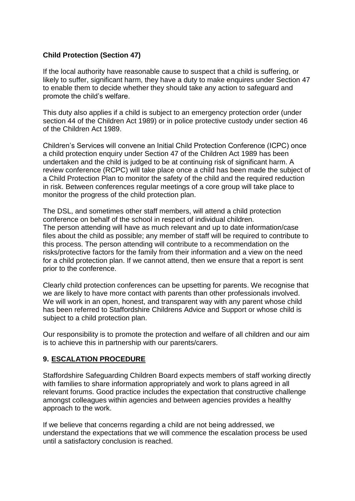# **Child Protection (Section 47)**

If the local authority have reasonable cause to suspect that a child is suffering, or likely to suffer, significant harm, they have a duty to make enquires under Section 47 to enable them to decide whether they should take any action to safeguard and promote the child's welfare.

This duty also applies if a child is subject to an emergency protection order (under section 44 of the Children Act 1989) or in police protective custody under section 46 of the Children Act 1989.

Children's Services will convene an Initial Child Protection Conference (ICPC) once a child protection enquiry under Section 47 of the Children Act 1989 has been undertaken and the child is judged to be at continuing risk of significant harm. A review conference (RCPC) will take place once a child has been made the subject of a Child Protection Plan to monitor the safety of the child and the required reduction in risk. Between conferences regular meetings of a core group will take place to monitor the progress of the child protection plan.

The DSL, and sometimes other staff members, will attend a child protection conference on behalf of the school in respect of individual children. The person attending will have as much relevant and up to date information/case files about the child as possible; any member of staff will be required to contribute to this process. The person attending will contribute to a recommendation on the risks/protective factors for the family from their information and a view on the need for a child protection plan. If we cannot attend, then we ensure that a report is sent prior to the conference.

Clearly child protection conferences can be upsetting for parents. We recognise that we are likely to have more contact with parents than other professionals involved. We will work in an open, honest, and transparent way with any parent whose child has been referred to Staffordshire Childrens Advice and Support or whose child is subject to a child protection plan.

Our responsibility is to promote the protection and welfare of all children and our aim is to achieve this in partnership with our parents/carers.

# **9. ESCALATION PROCEDURE**

Staffordshire Safeguarding Children Board expects members of staff working directly with families to share information appropriately and work to plans agreed in all relevant forums. Good practice includes the expectation that constructive challenge amongst colleagues within agencies and between agencies provides a healthy approach to the work.

If we believe that concerns regarding a child are not being addressed, we understand the expectations that we will commence the escalation process be used until a satisfactory conclusion is reached.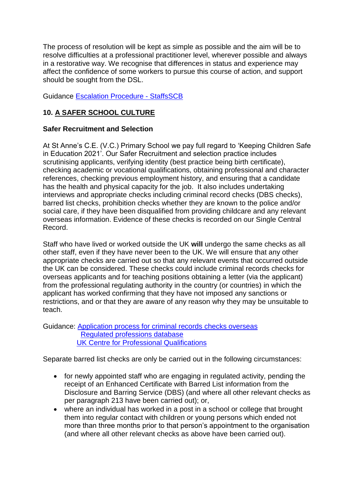The process of resolution will be kept as simple as possible and the aim will be to resolve difficulties at a professional practitioner level, wherever possible and always in a restorative way. We recognise that differences in status and experience may affect the confidence of some workers to pursue this course of action, and support should be sought from the DSL.

Guidance [Escalation Procedure -](https://www.staffsscb.org.uk/wp-content/uploads/2020/08/Escalation-Procedure-1.pdf) StaffsSCB

# **10. A SAFER SCHOOL CULTURE**

# **Safer Recruitment and Selection**

At St Anne's C.E. (V.C.) Primary School we pay full regard to 'Keeping Children Safe in Education 2021'. Our Safer Recruitment and selection practice includes scrutinising applicants, verifying identity (best practice being birth certificate), checking academic or vocational qualifications, obtaining professional and character references, checking previous employment history, and ensuring that a candidate has the health and physical capacity for the job. It also includes undertaking interviews and appropriate checks including criminal record checks (DBS checks), barred list checks, prohibition checks whether they are known to the police and/or social care, if they have been disqualified from providing childcare and any relevant overseas information. Evidence of these checks is recorded on our Single Central Record.

Staff who have lived or worked outside the UK **will** undergo the same checks as all other staff, even if they have never been to the UK. We will ensure that any other appropriate checks are carried out so that any relevant events that occurred outside the UK can be considered. These checks could include criminal records checks for overseas applicants and for teaching positions obtaining a letter (via the applicant) from the professional regulating authority in the country (or countries) in which the applicant has worked confirming that they have not imposed any sanctions or restrictions, and or that they are aware of any reason why they may be unsuitable to teach.

Guidance: [Application process for criminal records checks overseas](https://www.gov.uk/government/publications/criminal-records-checks-for-overseas-applicants/guidance-on-the-application-process-for-criminal-records-checks-overseas)  [Regulated professions database](https://ec.europa.eu/growth/tools-databases/regprof/)  [UK Centre for Professional Qualifications](https://cpq.ecctis.com/)

Separate barred list checks are only be carried out in the following circumstances:

- for newly appointed staff who are engaging in regulated activity, pending the receipt of an Enhanced Certificate with Barred List information from the Disclosure and Barring Service (DBS) (and where all other relevant checks as per paragraph 213 have been carried out); or,
- where an individual has worked in a post in a school or college that brought them into regular contact with children or young persons which ended not more than three months prior to that person's appointment to the organisation (and where all other relevant checks as above have been carried out).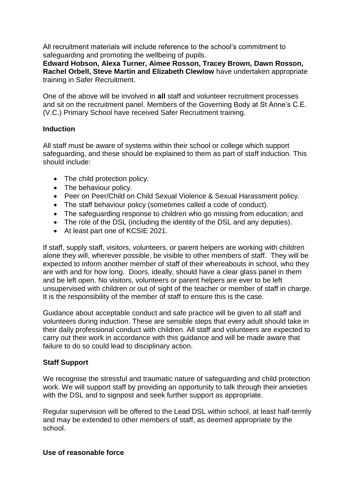All recruitment materials will include reference to the school's commitment to safeguarding and promoting the wellbeing of pupils.

**Edward Hobson, Alexa Turner, Aimee Rosson, Tracey Brown, Dawn Rosson, Rachel Orbell, Steve Martin and Elizabeth Clewlow** have undertaken appropriate training in Safer Recruitment.

One of the above will be involved in **all** staff and volunteer recruitment processes and sit on the recruitment panel. Members of the Governing Body at St Anne's C.E. (V.C.) Primary School have received Safer Recruitment training.

# **Induction**

All staff must be aware of systems within their school or college which support safeguarding, and these should be explained to them as part of staff induction. This should include:

- The child protection policy.
- The behaviour policy.
- Peer on Peer/Child on Child Sexual Violence & Sexual Harassment policy.
- The staff behaviour policy (sometimes called a code of conduct).
- The safeguarding response to children who go missing from education; and
- The role of the DSL (including the identity of the DSL and any deputies).
- At least part one of KCSIE 2021.

If staff, supply staff, visitors, volunteers, or parent helpers are working with children alone they will, wherever possible, be visible to other members of staff. They will be expected to inform another member of staff of their whereabouts in school, who they are with and for how long. Doors, ideally, should have a clear glass panel in them and be left open. No visitors, volunteers or parent helpers are ever to be left unsupervised with children or out of sight of the teacher or member of staff in charge. It is the responsibility of the member of staff to ensure this is the case.

Guidance about acceptable conduct and safe practice will be given to all staff and volunteers during induction. These are sensible steps that every adult should take in their daily professional conduct with children. All staff and volunteers are expected to carry out their work in accordance with this guidance and will be made aware that failure to do so could lead to disciplinary action.

# **Staff Support**

We recognise the stressful and traumatic nature of safeguarding and child protection work. We will support staff by providing an opportunity to talk through their anxieties with the DSL and to signpost and seek further support as appropriate.

Regular supervision will be offered to the Lead DSL within school, at least half-termly and may be extended to other members of staff, as deemed appropriate by the school.

#### **Use of reasonable force**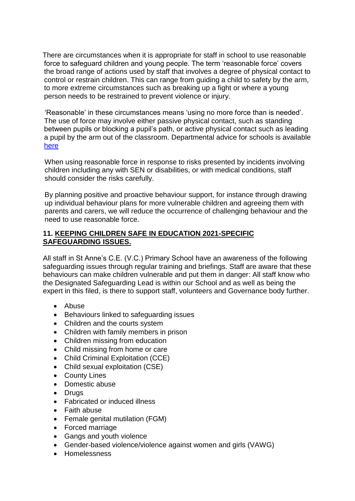There are circumstances when it is appropriate for staff in school to use reasonable force to safeguard children and young people. The term 'reasonable force' covers the broad range of actions used by staff that involves a degree of physical contact to control or restrain children. This can range from guiding a child to safety by the arm, to more extreme circumstances such as breaking up a fight or where a young person needs to be restrained to prevent violence or injury.

 'Reasonable' in these circumstances means 'using no more force than is needed'. The use of force may involve either passive physical contact, such as standing between pupils or blocking a pupil's path, or active physical contact such as leading a pupil by the arm out of the classroom. Departmental advice for schools is available [here](https://www.gov.uk/government/publications/use-of-reasonable-force-in-schools)

When using reasonable force in response to risks presented by incidents involving children including any with SEN or disabilities, or with medical conditions, staff should consider the risks carefully.

By planning positive and proactive behaviour support, for instance through drawing up individual behaviour plans for more vulnerable children and agreeing them with parents and carers, we will reduce the occurrence of challenging behaviour and the need to use reasonable force.

# **11. KEEPING CHILDREN SAFE IN EDUCATION 2021-SPECIFIC SAFEGUARDING ISSUES.**

All staff in St Anne's C.E. (V.C.) Primary School have an awareness of the following safeguarding issues through regular training and briefings. Staff are aware that these behaviours can make children vulnerable and put them in danger: All staff know who the Designated Safeguarding Lead is within our School and as well as being the expert in this filed, is there to support staff, volunteers and Governance body further.

- Abuse
- Behaviours linked to safeguarding issues
- Children and the courts system
- Children with family members in prison
- Children missing from education
- Child missing from home or care
- Child Criminal Exploitation (CCE)
- Child sexual exploitation (CSE)
- County Lines
- Domestic abuse
- Drugs
- Fabricated or induced illness
- Faith abuse
- Female genital mutilation (FGM)
- Forced marriage
- Gangs and youth violence
- Gender-based violence/violence against women and girls (VAWG)
- Homelessness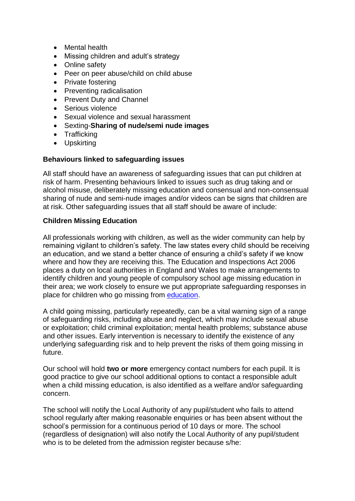- Mental health
- Missing children and adult's strategy
- Online safety
- Peer on peer abuse/child on child abuse
- Private fostering
- Preventing radicalisation
- Prevent Duty and Channel
- Serious violence
- Sexual violence and sexual harassment
- Sexting-**Sharing of nude/semi nude images**
- Trafficking
- Upskirting

#### **Behaviours linked to safeguarding issues**

All staff should have an awareness of safeguarding issues that can put children at risk of harm. Presenting behaviours linked to issues such as drug taking and or alcohol misuse, deliberately missing education and consensual and non-consensual sharing of nude and semi-nude images and/or videos can be signs that children are at risk. Other safeguarding issues that all staff should be aware of include:

# **Children Missing Education**

All professionals working with children, as well as the wider community can help by remaining vigilant to children's safety. The law states every child should be receiving an education, and we stand a better chance of ensuring a child's safety if we know where and how they are receiving this. The Education and Inspections Act 2006 places a duty on local authorities in England and Wales to make arrangements to identify children and young people of compulsory school age missing education in their area; we work closely to ensure we put appropriate safeguarding responses in place for children who go missing from [education.](https://a604b434-aefb-4c50-a9bc-6a21a5ab3cdd.filesusr.com/ugd/cac643_c8b943321c0e4d6faf68782a208ac9e9.pdf)

A child going missing, particularly repeatedly, can be a vital warning sign of a range of safeguarding risks, including abuse and neglect, which may include sexual abuse or exploitation; child criminal exploitation; mental health problems; substance abuse and other issues. Early intervention is necessary to identify the existence of any underlying safeguarding risk and to help prevent the risks of them going missing in future.

Our school will hold **two or more** emergency contact numbers for each pupil. It is good practice to give our school additional options to contact a responsible adult when a child missing education, is also identified as a welfare and/or safeguarding concern.

The school will notify the Local Authority of any pupil/student who fails to attend school regularly after making reasonable enquiries or has been absent without the school's permission for a continuous period of 10 days or more. The school (regardless of designation) will also notify the Local Authority of any pupil/student who is to be deleted from the admission register because s/he: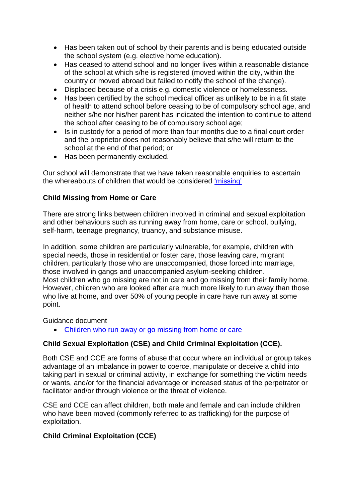- Has been taken out of school by their parents and is being educated outside the school system (e.g. elective home education).
- Has ceased to attend school and no longer lives within a reasonable distance of the school at which s/he is registered (moved within the city, within the country or moved abroad but failed to notify the school of the change).
- Displaced because of a crisis e.g. domestic violence or homelessness.
- Has been certified by the school medical officer as unlikely to be in a fit state of health to attend school before ceasing to be of compulsory school age, and neither s/he nor his/her parent has indicated the intention to continue to attend the school after ceasing to be of compulsory school age;
- Is in custody for a period of more than four months due to a final court order and the proprietor does not reasonably believe that s/he will return to the school at the end of that period; or
- Has been permanently excluded.

Our school will demonstrate that we have taken reasonable enquiries to ascertain the whereabouts of children that would be considered ['missing'](https://www.gov.uk/government/publications/children-missing-education)

# **Child Missing from Home or Care**

There are strong links between children involved in criminal and sexual exploitation and other behaviours such as running away from home, care or school, bullying, self-harm, teenage pregnancy, truancy, and substance misuse.

In addition, some children are particularly vulnerable, for example, children with special needs, those in residential or foster care, those leaving care, migrant children, particularly those who are unaccompanied, those forced into marriage, those involved in gangs and unaccompanied asylum-seeking children. Most children who go missing are not in care and go missing from their family home. However, children who are looked after are much more likely to run away than those who live at home, and over 50% of young people in care have run away at some point.

Guidance document

[Children who run away or go missing from home or care](https://www.gov.uk/government/publications/children-who-run-away-or-go-missing-from-home-or-care)

# **Child Sexual Exploitation (CSE) and Child Criminal Exploitation (CCE).**

Both CSE and CCE are forms of abuse that occur where an individual or group takes advantage of an imbalance in power to coerce, manipulate or deceive a child into taking part in sexual or criminal activity, in exchange for something the victim needs or wants, and/or for the financial advantage or increased status of the perpetrator or facilitator and/or through violence or the threat of violence.

CSE and CCE can affect children, both male and female and can include children who have been moved (commonly referred to as trafficking) for the purpose of exploitation.

# **Child Criminal Exploitation (CCE)**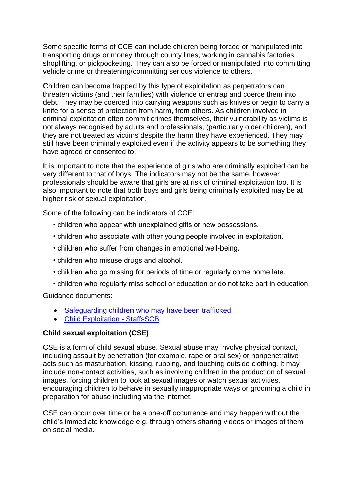Some specific forms of CCE can include children being forced or manipulated into transporting drugs or money through county lines, working in cannabis factories, shoplifting, or pickpocketing. They can also be forced or manipulated into committing vehicle crime or threatening/committing serious violence to others.

Children can become trapped by this type of exploitation as perpetrators can threaten victims (and their families) with violence or entrap and coerce them into debt. They may be coerced into carrying weapons such as knives or begin to carry a knife for a sense of protection from harm, from others. As children involved in criminal exploitation often commit crimes themselves, their vulnerability as victims is not always recognised by adults and professionals, (particularly older children), and they are not treated as victims despite the harm they have experienced. They may still have been criminally exploited even if the activity appears to be something they have agreed or consented to.

It is important to note that the experience of girls who are criminally exploited can be very different to that of boys. The indicators may not be the same, however professionals should be aware that girls are at risk of criminal exploitation too. It is also important to note that both boys and girls being criminally exploited may be at higher risk of sexual exploitation.

Some of the following can be indicators of CCE:

- children who appear with unexplained gifts or new possessions.
- children who associate with other young people involved in exploitation.
- children who suffer from changes in emotional well-being.
- children who misuse drugs and alcohol.
- children who go missing for periods of time or regularly come home late.
- children who regularly miss school or education or do not take part in education.

Guidance documents:

- [Safeguarding children who may have been trafficked](https://www.gov.uk/government/publications/safeguarding-children-who-may-have-been-trafficked-practice-guidance)
- [Child Exploitation -](https://www.staffsscb.org.uk/working-together-to-safeguard-children/child-exploitation/) StaffsSCB

#### **Child sexual exploitation (CSE)**

CSE is a form of child sexual abuse. Sexual abuse may involve physical contact, including assault by penetration (for example, rape or oral sex) or nonpenetrative acts such as masturbation, kissing, rubbing, and touching outside clothing. It may include non-contact activities, such as involving children in the production of sexual images, forcing children to look at sexual images or watch sexual activities, encouraging children to behave in sexually inappropriate ways or grooming a child in preparation for abuse including via the internet.

CSE can occur over time or be a one-off occurrence and may happen without the child's immediate knowledge e.g. through others sharing videos or images of them on social media.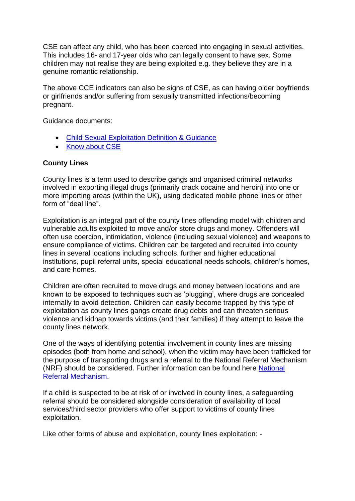CSE can affect any child, who has been coerced into engaging in sexual activities. This includes 16- and 17-year olds who can legally consent to have sex. Some children may not realise they are being exploited e.g. they believe they are in a genuine romantic relationship.

The above CCE indicators can also be signs of CSE, as can having older boyfriends or girlfriends and/or suffering from sexually transmitted infections/becoming pregnant.

Guidance documents:

- [Child Sexual Exploitation Definition & Guidance](https://www.google.com/url?sa=t&rct=j&q=&esrc=s&source=web&cd=&cad=rja&uact=8&ved=2ahUKEwiQjKPPusrqAhVjs3EKHehtAFoQFjAEegQIBBAB&url=https%3A%2F%2Fwww.gov.uk%2Fgovernment%2Fpublications%2Fchild-sexual-exploitation-definition-and-guide-for-practitioners&usg=AOvVaw3_SgEJIra33fq4k-9DIegf)
- [Know about CSE](http://www.knowaboutcse.co.uk/)

# **County Lines**

County lines is a term used to describe gangs and organised criminal networks involved in exporting illegal drugs (primarily crack cocaine and heroin) into one or more importing areas (within the UK), using dedicated mobile phone lines or other form of "deal line".

Exploitation is an integral part of the county lines offending model with children and vulnerable adults exploited to move and/or store drugs and money. Offenders will often use coercion, intimidation, violence (including sexual violence) and weapons to ensure compliance of victims. Children can be targeted and recruited into county lines in several locations including schools, further and higher educational institutions, pupil referral units, special educational needs schools, children's homes, and care homes.

Children are often recruited to move drugs and money between locations and are known to be exposed to techniques such as 'plugging', where drugs are concealed internally to avoid detection. Children can easily become trapped by this type of exploitation as county lines gangs create drug debts and can threaten serious violence and kidnap towards victims (and their families) if they attempt to leave the county lines network.

One of the ways of identifying potential involvement in county lines are missing episodes (both from home and school), when the victim may have been trafficked for the purpose of transporting drugs and a referral to the National Referral Mechanism (NRF) should be considered. Further information can be found here [National](https://assets.publishing.service.gov.uk/government/uploads/system/uploads/attachment_data/file/233310/NRM_child_first_responders_guidance.pdf)  [Referral Mechanism.](https://assets.publishing.service.gov.uk/government/uploads/system/uploads/attachment_data/file/233310/NRM_child_first_responders_guidance.pdf)

If a child is suspected to be at risk of or involved in county lines, a safeguarding referral should be considered alongside consideration of availability of local services/third sector providers who offer support to victims of county lines exploitation.

Like other forms of abuse and exploitation, county lines exploitation: -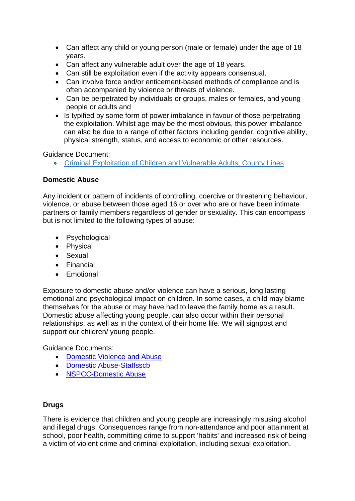- Can affect any child or young person (male or female) under the age of 18 years.
- Can affect any vulnerable adult over the age of 18 years.
- Can still be exploitation even if the activity appears consensual.
- Can involve force and/or enticement-based methods of compliance and is often accompanied by violence or threats of violence.
- Can be perpetrated by individuals or groups, males or females, and young people or adults and
- Is typified by some form of power imbalance in favour of those perpetrating the exploitation. Whilst age may be the most obvious, this power imbalance can also be due to a range of other factors including gender, cognitive ability, physical strength, status, and access to economic or other resources.

Guidance Document:

[Criminal Exploitation of Children and Vulnerable Adults; County Lines](https://www.gov.uk/government/publications/criminal-exploitation-of-children-and-vulnerable-adults-county-lines)

#### **Domestic Abuse**

Any incident or pattern of incidents of controlling, coercive or threatening behaviour, violence, or abuse between those aged 16 or over who are or have been intimate partners or family members regardless of gender or sexuality. This can encompass but is not limited to the following types of abuse:

- Psychological
- Physical
- Sexual
- Financial
- **•** Emotional

Exposure to domestic abuse and/or violence can have a serious, long lasting emotional and psychological impact on children. In some cases, a child may blame themselves for the abuse or may have had to leave the family home as a result. Domestic abuse affecting young people, can also occur within their personal relationships, as well as in the context of their home life. We will signpost and support our children/ young people.

Guidance Documents:

- [Domestic Violence and Abuse](https://www.gov.uk/guidance/domestic-violence-and-abuse)
- [Domestic Abuse-Staffsscb](https://www.staffsscb.org.uk/?s=domestic+abuse)
- [NSPCC-Domestic Abuse](https://www.nspcc.org.uk/what-is-child-abuse/types-of-abuse/domestic-abuse/)

#### **Drugs**

There is evidence that children and young people are increasingly misusing alcohol and illegal drugs. Consequences range from non-attendance and poor attainment at school, poor health, committing crime to support 'habits' and increased risk of being a victim of violent crime and criminal exploitation, including sexual exploitation.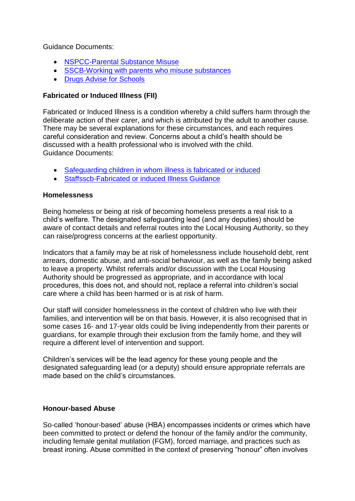Guidance Documents:

- [NSPCC-Parental Substance Misuse](https://learning.nspcc.org.uk/children-and-families-at-risk/parental-substance-misuse)
- [SSCB-Working with parents who misuse substances](https://www.ssscb.org.uk/wp-content/uploads/2020/04/Section-4Q-Working-with-Parents-who-misuse-substances.pdf)
- [Drugs Advise for Schools](https://www.gov.uk/government/publications/drugs-advice-for-schools)

# **Fabricated or Induced Illness (FII)**

Fabricated or Induced Illness is a condition whereby a child suffers harm through the deliberate action of their carer, and which is attributed by the adult to another cause. There may be several explanations for these circumstances, and each requires careful consideration and review. Concerns about a child's health should be discussed with a health professional who is involved with the child. Guidance Documents:

- [Safeguarding children in whom illness is fabricated or induced](https://www.gov.uk/government/publications/safeguarding-children-in-whom-illness-is-fabricated-or-induced)
- [Staffsscb-Fabricated or induced Illness Guidance](https://www.staffsscb.org.uk/wp-content/uploads/2020/12/Fabricated-or-Induced-Illness.pdf)

# **Homelessness**

Being homeless or being at risk of becoming homeless presents a real risk to a child's welfare. The designated safeguarding lead (and any deputies) should be aware of contact details and referral routes into the Local Housing Authority, so they can raise/progress concerns at the earliest opportunity.

Indicators that a family may be at risk of homelessness include household debt, rent arrears, domestic abuse, and anti-social behaviour, as well as the family being asked to leave a property. Whilst referrals and/or discussion with the Local Housing Authority should be progressed as appropriate, and in accordance with local procedures, this does not, and should not, replace a referral into children's social care where a child has been harmed or is at risk of harm.

Our staff will consider homelessness in the context of children who live with their families, and intervention will be on that basis. However, it is also recognised that in some cases 16- and 17-year olds could be living independently from their parents or guardians, for example through their exclusion from the family home, and they will require a different level of intervention and support.

Children's services will be the lead agency for these young people and the designated safeguarding lead (or a deputy) should ensure appropriate referrals are made based on the child's circumstances.

# **Honour-based Abuse**

So-called 'honour-based' abuse (HBA) encompasses incidents or crimes which have been committed to protect or defend the honour of the family and/or the community, including female genital mutilation (FGM), forced marriage, and practices such as breast ironing. Abuse committed in the context of preserving "honour" often involves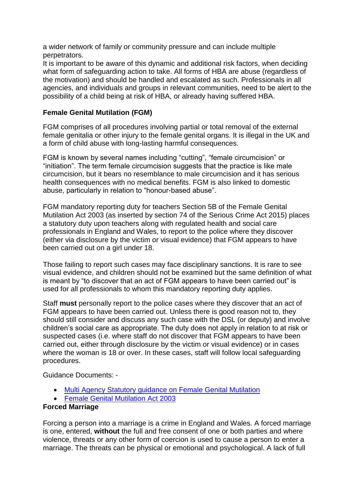a wider network of family or community pressure and can include multiple perpetrators.

It is important to be aware of this dynamic and additional risk factors, when deciding what form of safeguarding action to take. All forms of HBA are abuse (regardless of the motivation) and should be handled and escalated as such. Professionals in all agencies, and individuals and groups in relevant communities, need to be alert to the possibility of a child being at risk of HBA, or already having suffered HBA.

# **Female Genital Mutilation (FGM)**

FGM comprises of all procedures involving partial or total removal of the external female genitalia or other injury to the female genital organs. It is illegal in the UK and a form of child abuse with long-lasting harmful consequences.

FGM is known by several names including "cutting", "female circumcision" or "initiation". The term female circumcision suggests that the practice is like male circumcision, but it bears no resemblance to male circumcision and it has serious health consequences with no medical benefits. FGM is also linked to domestic abuse, particularly in relation to "honour-based abuse".

FGM mandatory reporting duty for teachers Section 5B of the Female Genital Mutilation Act 2003 (as inserted by section 74 of the Serious Crime Act 2015) places a statutory duty upon teachers along with regulated health and social care professionals in England and Wales, to report to the police where they discover (either via disclosure by the victim or visual evidence) that FGM appears to have been carried out on a girl under 18.

Those failing to report such cases may face disciplinary sanctions. It is rare to see visual evidence, and children should not be examined but the same definition of what is meant by "to discover that an act of FGM appears to have been carried out" is used for all professionals to whom this mandatory reporting duty applies.

Staff **must** personally report to the police cases where they discover that an act of FGM appears to have been carried out. Unless there is good reason not to, they should still consider and discuss any such case with the DSL (or deputy) and involve children's social care as appropriate. The duty does not apply in relation to at risk or suspected cases (i.e. where staff do not discover that FGM appears to have been carried out, either through disclosure by the victim or visual evidence) or in cases where the woman is 18 or over. In these cases, staff will follow local safeguarding procedures.

Guidance Documents: -

- [Multi Agency Statutory guidance on Female Genital Mutilation](https://www.gov.uk/government/publications/multi-agency-statutory-guidance-on-female-genital-mutilation)
- [Female Genital Mutilation Act 2003](https://www.gov.uk/government/publications/mandatory-reporting-of-female-genital-mutilation-procedural-information)

# **Forced Marriage**

Forcing a person into a marriage is a crime in England and Wales. A forced marriage is one, entered, **without** the full and free consent of one or both parties and where violence, threats or any other form of coercion is used to cause a person to enter a marriage. The threats can be physical or emotional and psychological. A lack of full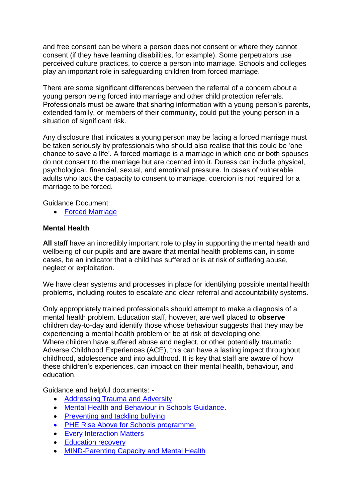and free consent can be where a person does not consent or where they cannot consent (if they have learning disabilities, for example). Some perpetrators use perceived culture practices, to coerce a person into marriage. Schools and colleges play an important role in safeguarding children from forced marriage.

There are some significant differences between the referral of a concern about a young person being forced into marriage and other child protection referrals. Professionals must be aware that sharing information with a young person's parents, extended family, or members of their community, could put the young person in a situation of significant risk.

Any disclosure that indicates a young person may be facing a forced marriage must be taken seriously by professionals who should also realise that this could be 'one chance to save a life'. A forced marriage is a marriage in which one or both spouses do not consent to the marriage but are coerced into it. Duress can include physical, psychological, financial, sexual, and emotional pressure. In cases of vulnerable adults who lack the capacity to consent to marriage, coercion is not required for a marriage to be forced.

Guidance Document:

[Forced Marriage](https://www.gov.uk/guidance/forced-marriage)

#### **Mental Health**

**All** staff have an incredibly important role to play in supporting the mental health and wellbeing of our pupils and **are** aware that mental health problems can, in some cases, be an indicator that a child has suffered or is at risk of suffering abuse, neglect or exploitation.

We have clear systems and processes in place for identifying possible mental health problems, including routes to escalate and clear referral and accountability systems.

Only appropriately trained professionals should attempt to make a diagnosis of a mental health problem. Education staff, however, are well placed to **observe** children day-to-day and identify those whose behaviour suggests that they may be experiencing a mental health problem or be at risk of developing one. Where children have suffered abuse and neglect, or other potentially traumatic Adverse Childhood Experiences (ACE), this can have a lasting impact throughout childhood, adolescence and into adulthood. It is key that staff are aware of how these children's experiences, can impact on their mental health, behaviour, and education.

Guidance and helpful documents: -

- Addressing Trauma and Adversity
- [Mental Health and Behaviour in Schools Guidance.](https://assets.publishing.service.gov.uk/government/uploads/system/uploads/attachment_data/file/755135/Mental_health_and_behaviour_in_schools__.pdf)
- [Preventing and tackling bullying](https://assets.publishing.service.gov.uk/government/uploads/system/uploads/attachment_data/file/623895/Preventing_and_tackling_bullying_advice.pdf)
- [PHE Rise Above for Schools programme.](https://staffordshire-my.sharepoint.com/personal/viki_hulme_staffordshire_gov_uk/Documents/Documents/PHE%20launches%20Rise%20Above%20for%20Schools%20programme%20-%20GOV.UK%20(www.gov.uk))
- [Every Interaction Matters](https://www.minded.org.uk/Component/Details/685525)
- Education recovery
- [MIND-Parenting Capacity and Mental Health](https://www.mind.org.uk/information-support/tips-for-everyday-living/parenting-with-a-mental-health-problem/parenting-and-mental-health/)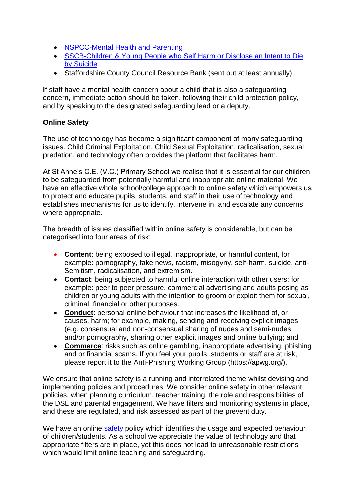- [NSPCC-Mental Health and Parenting](https://www.nspcc.org.uk/keeping-children-safe/support-for-parents/mental-health-parenting/)
- [SSCB-Children & Young People who Self Harm or Disclose an Intent to Die](https://www.ssscb.org.uk/wp-content/uploads/2020/04/Section-4U-Children-and-Young-People-who-Self-Harm-or-Disclose-an-Intent-to-Die-by-Suicide.docx)  [by Suicide](https://www.ssscb.org.uk/wp-content/uploads/2020/04/Section-4U-Children-and-Young-People-who-Self-Harm-or-Disclose-an-Intent-to-Die-by-Suicide.docx)
- Staffordshire County Council Resource Bank (sent out at least annually)

If staff have a mental health concern about a child that is also a safeguarding concern, immediate action should be taken, following their child protection policy, and by speaking to the designated safeguarding lead or a deputy.

# **Online Safety**

The use of technology has become a significant component of many safeguarding issues. Child Criminal Exploitation, Child Sexual Exploitation, radicalisation, sexual predation, and technology often provides the platform that facilitates harm.

At St Anne's C.E. (V.C.) Primary School we realise that it is essential for our children to be safeguarded from potentially harmful and inappropriate online material. We have an effective whole school/college approach to online safety which empowers us to protect and educate pupils, students, and staff in their use of technology and establishes mechanisms for us to identify, intervene in, and escalate any concerns where appropriate.

The breadth of issues classified within online safety is considerable, but can be categorised into four areas of risk:

- **Content**: being exposed to illegal, inappropriate, or harmful content, for example: pornography, fake news, racism, misogyny, self-harm, suicide, anti-Semitism, radicalisation, and extremism.
- **Contact**: being subjected to harmful online interaction with other users; for example: peer to peer pressure, commercial advertising and adults posing as children or young adults with the intention to groom or exploit them for sexual, criminal, financial or other purposes.
- **Conduct**: personal online behaviour that increases the likelihood of, or causes, harm; for example, making, sending and receiving explicit images (e.g. consensual and non-consensual sharing of nudes and semi-nudes and/or pornography, sharing other explicit images and online bullying; and
- **Commerce**: risks such as online gambling, inappropriate advertising, phishing and or financial scams. If you feel your pupils, students or staff are at risk, please report it to the Anti-Phishing Working Group (https://apwg.org/).

We ensure that online safety is a running and interrelated theme whilst devising and implementing policies and procedures. We consider online safety in other relevant policies, when planning curriculum, teacher training, the role and responsibilities of the DSL and parental engagement. We have filters and monitoring systems in place, and these are regulated, and risk assessed as part of the prevent duty.

We have an online [safety](https://a604b434-aefb-4c50-a9bc-6a21a5ab3cdd.filesusr.com/ugd/cac643_256220790d7c4d00a6dafaa780c63e8f.pdf) policy which identifies the usage and expected behaviour of children/students. As a school we appreciate the value of technology and that appropriate filters are in place, yet this does not lead to unreasonable restrictions which would limit online teaching and safeguarding.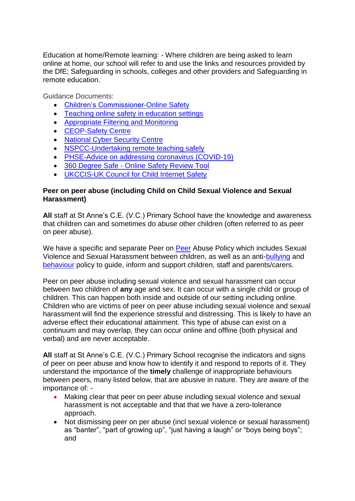Education at home/Remote learning: - Where children are being asked to learn online at home, our school will refer to and use the links and resources provided by the DfE; Safeguarding in schools, colleges and other providers and Safeguarding in remote education.

Guidance Documents:

- [Children's Commissioner-Online Safety](https://www.childrenscommissioner.gov.uk/?s=online+safety)
- [Teaching online safety in education settings](https://assets.publishing.service.gov.uk/government/uploads/system/uploads/attachment_data/file/811796/Teaching_online_safety_in_school.pdf)
- [Appropriate Filtering and Monitoring](https://www.saferinternet.org.uk/advice-centre/teachers-and-school-staff/appropriate-filtering-and-monitoring)
- [CEOP-Safety Centre](https://www.ceop.police.uk/Safety-Centre/)
- [National Cyber Security Centre](https://www.ncsc.gov.uk/)
- [NSPCC-Undertaking remote teaching safely](https://learning.nspcc.org.uk/news/covid/undertaking-remote-teaching-safely)
- [PHSE-Advice on addressing coronavirus \(COVID-19\)](https://www.pshe-association.org.uk/advice-addressing-coronavirus-covid-19-pshe)
- 360 Degree Safe Online Safety Review Tool
- [UKCCIS-UK Council for Child Internet Safety](https://www.gov.uk/government/groups/uk-council-for-child-internet-safety-ukccis)

#### **Peer on peer abuse (including Child on Child Sexual Violence and Sexual Harassment)**

**All** staff at St Anne's C.E. (V.C.) Primary School have the knowledge and awareness that children can and sometimes do abuse other children (often referred to as peer on peer abuse).

We have a specific and separate [Peer](https://a604b434-aefb-4c50-a9bc-6a21a5ab3cdd.filesusr.com/ugd/cac643_cc3eade9856e4a2c8ba20465348bd5ab.pdf) on Peer Abuse Policy which includes Sexual Violence and Sexual Harassment between children, as well as an anti[-bullying](https://a604b434-aefb-4c50-a9bc-6a21a5ab3cdd.filesusr.com/ugd/cac643_8845fb8df0da4783a7a9b2996a119057.pdf) and [behaviour](https://a604b434-aefb-4c50-a9bc-6a21a5ab3cdd.filesusr.com/ugd/cac643_66b20ec1f1834f2792c2782efbed9f11.pdf) policy to guide, inform and support children, staff and parents/carers.

Peer on peer abuse including sexual violence and sexual harassment can occur between two children of **any** age and sex. It can occur with a single child or group of children. This can happen both inside and outside of our setting including online. Children who are victims of peer on peer abuse including sexual violence and sexual harassment will find the experience stressful and distressing. This is likely to have an adverse effect their educational attainment. This type of abuse can exist on a continuum and may overlap, they can occur online and offline (both physical and verbal) and are never acceptable.

**All** staff at St Anne's C.E. (V.C.) Primary School recognise the indicators and signs of peer on peer abuse and know how to identify it and respond to reports of it. They understand the importance of the **timely** challenge of inappropriate behaviours between peers, many listed below, that are abusive in nature. They are aware of the importance of: -

- Making clear that peer on peer abuse including sexual violence and sexual harassment is not acceptable and that that we have a zero-tolerance approach.
- Not dismissing peer on per abuse (incl sexual violence or sexual harassment) as "banter", "part of growing up", "just having a laugh" or "boys being boys"; and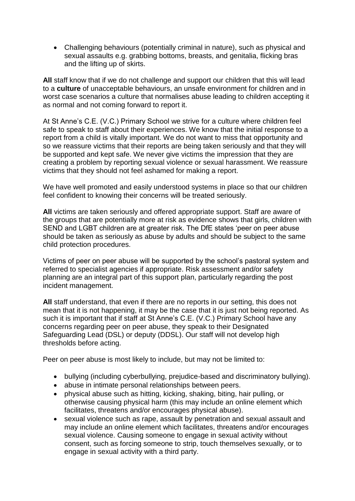Challenging behaviours (potentially criminal in nature), such as physical and sexual assaults e.g. grabbing bottoms, breasts, and genitalia, flicking bras and the lifting up of skirts.

**All** staff know that if we do not challenge and support our children that this will lead to a **culture** of unacceptable behaviours, an unsafe environment for children and in worst case scenarios a culture that normalises abuse leading to children accepting it as normal and not coming forward to report it.

At St Anne's C.E. (V.C.) Primary School we strive for a culture where children feel safe to speak to staff about their experiences. We know that the initial response to a report from a child is vitally important. We do not want to miss that opportunity and so we reassure victims that their reports are being taken seriously and that they will be supported and kept safe. We never give victims the impression that they are creating a problem by reporting sexual violence or sexual harassment. We reassure victims that they should not feel ashamed for making a report.

We have well promoted and easily understood systems in place so that our children feel confident to knowing their concerns will be treated seriously.

**All** victims are taken seriously and offered appropriate support. Staff are aware of the groups that are potentially more at risk as evidence shows that girls, children with SEND and LGBT children are at greater risk. The DfE states 'peer on peer abuse should be taken as seriously as abuse by adults and should be subject to the same child protection procedures.

Victims of peer on peer abuse will be supported by the school's pastoral system and referred to specialist agencies if appropriate. Risk assessment and/or safety planning are an integral part of this support plan, particularly regarding the post incident management.

**All** staff understand, that even if there are no reports in our setting, this does not mean that it is not happening, it may be the case that it is just not being reported. As such it is important that if staff at St Anne's C.E. (V.C.) Primary School have any concerns regarding peer on peer abuse, they speak to their Designated Safeguarding Lead (DSL) or deputy (DDSL). Our staff will not develop high thresholds before acting.

Peer on peer abuse is most likely to include, but may not be limited to:

- bullying (including cyberbullying, prejudice-based and discriminatory bullying).
- abuse in intimate personal relationships between peers.
- physical abuse such as hitting, kicking, shaking, biting, hair pulling, or otherwise causing physical harm (this may include an online element which facilitates, threatens and/or encourages physical abuse).
- sexual violence such as rape, assault by penetration and sexual assault and may include an online element which facilitates, threatens and/or encourages sexual violence. Causing someone to engage in sexual activity without consent, such as forcing someone to strip, touch themselves sexually, or to engage in sexual activity with a third party.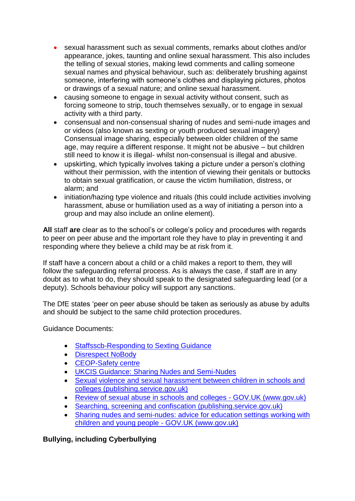- sexual harassment such as sexual comments, remarks about clothes and/or appearance, jokes, taunting and online sexual harassment. This also includes the telling of sexual stories, making lewd comments and calling someone sexual names and physical behaviour, such as: deliberately brushing against someone, interfering with someone's clothes and displaying pictures, photos or drawings of a sexual nature; and online sexual harassment.
- causing someone to engage in sexual activity without consent, such as forcing someone to strip, touch themselves sexually, or to engage in sexual activity with a third party.
- consensual and non-consensual sharing of nudes and semi-nude images and or videos (also known as sexting or youth produced sexual imagery) Consensual image sharing, especially between older children of the same age, may require a different response. It might not be abusive – but children still need to know it is illegal- whilst non-consensual is illegal and abusive.
- upskirting, which typically involves taking a picture under a person's clothing without their permission, with the intention of viewing their genitals or buttocks to obtain sexual gratification, or cause the victim humiliation, distress, or alarm; and
- initiation/hazing type violence and rituals (this could include activities involving harassment, abuse or humiliation used as a way of initiating a person into a group and may also include an online element).

**All** staff **are** clear as to the school's or college's policy and procedures with regards to peer on peer abuse and the important role they have to play in preventing it and responding where they believe a child may be at risk from it.

If staff have a concern about a child or a child makes a report to them, they will follow the safeguarding referral process. As is always the case, if staff are in any doubt as to what to do, they should speak to the designated safeguarding lead (or a deputy). Schools behaviour policy will support any sanctions.

The DfE states 'peer on peer abuse should be taken as seriously as abuse by adults and should be subject to the same child protection procedures.

Guidance Documents:

- **Staffsscb-Responding to Sexting Guidance**
- [Disrespect NoBody](https://www.disrespectnobody.co.uk/)
- [CEOP-Safety centre](https://www.ceop.police.uk/Safety-Centre/)
- [UKCIS Guidance: Sharing Nudes and Semi-Nudes](https://oursaferschools.co.uk/2021/01/13/ukcis/)
- [Sexual violence and sexual harassment between children in schools and](https://assets.publishing.service.gov.uk/government/uploads/system/uploads/attachment_data/file/999239/SVSH_2021.pdf)  [colleges \(publishing.service.gov.uk\)](https://assets.publishing.service.gov.uk/government/uploads/system/uploads/attachment_data/file/999239/SVSH_2021.pdf)
- Review of sexual abuse in schools and colleges GOV.UK (www.gov.uk)
- [Searching, screening and confiscation \(publishing.service.gov.uk\)](https://assets.publishing.service.gov.uk/government/uploads/system/uploads/attachment_data/file/674416/Searching_screening_and_confiscation.pdf)
- Sharing nudes and semi-nudes: advice for education settings working with children and young people - GOV.UK (www.gov.uk)

**Bullying, including Cyberbullying**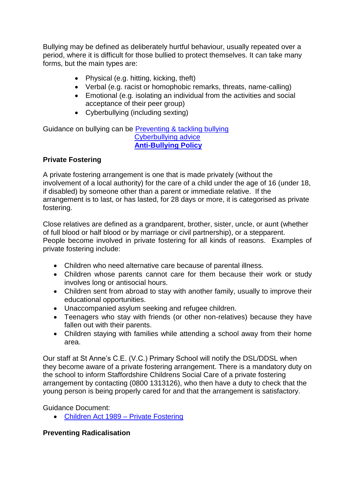Bullying may be defined as deliberately hurtful behaviour, usually repeated over a period, where it is difficult for those bullied to protect themselves. It can take many forms, but the main types are:

- Physical (e.g. hitting, kicking, theft)
- Verbal (e.g. racist or homophobic remarks, threats, name-calling)
- Emotional (e.g. isolating an individual from the activities and social acceptance of their peer group)
- Cyberbullying (including sexting)

Guidance on bullying can be [Preventing & tackling bullying](https://www.gov.uk/government/publications/preventing-and-tackling-bullying) [Cyberbullying advice](https://assets.publishing.service.gov.uk/government/uploads/system/uploads/attachment_data/file/374850/Cyberbullying_Advice_for_Headteachers_and_School_Staff_121114.pdf) **[Anti-Bullying Policy](https://a604b434-aefb-4c50-a9bc-6a21a5ab3cdd.filesusr.com/ugd/cac643_8845fb8df0da4783a7a9b2996a119057.pdf)**

# **Private Fostering**

A private fostering arrangement is one that is made privately (without the involvement of a local authority) for the care of a child under the age of 16 (under 18, if disabled) by someone other than a parent or immediate relative. If the arrangement is to last, or has lasted, for 28 days or more, it is categorised as private fostering.

Close relatives are defined as a grandparent, brother, sister, uncle, or aunt (whether of full blood or half blood or by marriage or civil partnership), or a stepparent. People become involved in private fostering for all kinds of reasons. Examples of private fostering include:

- Children who need alternative care because of parental illness.
- Children whose parents cannot care for them because their work or study involves long or antisocial hours.
- Children sent from abroad to stay with another family, usually to improve their educational opportunities.
- Unaccompanied asylum seeking and refugee children.
- Teenagers who stay with friends (or other non-relatives) because they have fallen out with their parents.
- Children staying with families while attending a school away from their home area.

Our staff at St Anne's C.E. (V.C.) Primary School will notify the DSL/DDSL when they become aware of a private fostering arrangement. There is a mandatory duty on the school to inform Staffordshire Childrens Social Care of a private fostering arrangement by contacting (0800 1313126), who then have a duty to check that the young person is being properly cared for and that the arrangement is satisfactory.

Guidance Document:

• [Children Act 1989 –](https://www.gov.uk/government/publications/children-act-1989-private-fostering) Private Fostering

# **Preventing Radicalisation**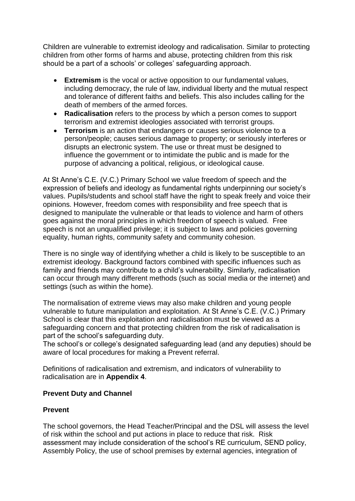Children are vulnerable to extremist ideology and radicalisation. Similar to protecting children from other forms of harms and abuse, protecting children from this risk should be a part of a schools' or colleges' safeguarding approach.

- **Extremism** is the vocal or active opposition to our fundamental values, including democracy, the rule of law, individual liberty and the mutual respect and tolerance of different faiths and beliefs. This also includes calling for the death of members of the armed forces.
- **Radicalisation** refers to the process by which a person comes to support terrorism and extremist ideologies associated with terrorist groups.
- **Terrorism** is an action that endangers or causes serious violence to a person/people; causes serious damage to property; or seriously interferes or disrupts an electronic system. The use or threat must be designed to influence the government or to intimidate the public and is made for the purpose of advancing a political, religious, or ideological cause.

At St Anne's C.E. (V.C.) Primary School we value freedom of speech and the expression of beliefs and ideology as fundamental rights underpinning our society's values. Pupils/students and school staff have the right to speak freely and voice their opinions. However, freedom comes with responsibility and free speech that is designed to manipulate the vulnerable or that leads to violence and harm of others goes against the moral principles in which freedom of speech is valued. Free speech is not an unqualified privilege; it is subject to laws and policies governing equality, human rights, community safety and community cohesion.

There is no single way of identifying whether a child is likely to be susceptible to an extremist ideology. Background factors combined with specific influences such as family and friends may contribute to a child's vulnerability. Similarly, radicalisation can occur through many different methods (such as social media or the internet) and settings (such as within the home).

The normalisation of extreme views may also make children and young people vulnerable to future manipulation and exploitation. At St Anne's C.E. (V.C.) Primary School is clear that this exploitation and radicalisation must be viewed as a safeguarding concern and that protecting children from the risk of radicalisation is part of the school's safeguarding duty.

The school's or college's designated safeguarding lead (and any deputies) should be aware of local procedures for making a Prevent referral.

 Definitions of radicalisation and extremism, and indicators of vulnerability to radicalisation are in **Appendix 4**.

#### **Prevent Duty and Channel**

#### **Prevent**

The school governors, the Head Teacher/Principal and the DSL will assess the level of risk within the school and put actions in place to reduce that risk. Risk assessment may include consideration of the school's RE curriculum, SEND policy, Assembly Policy, the use of school premises by external agencies, integration of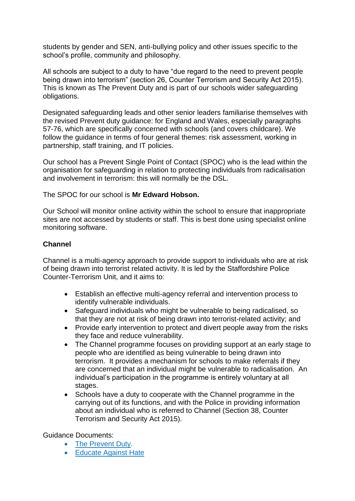students by gender and SEN, anti-bullying policy and other issues specific to the school's profile, community and philosophy.

All schools are subject to a duty to have "due regard to the need to prevent people being drawn into terrorism" (section 26, Counter Terrorism and Security Act 2015). This is known as The Prevent Duty and is part of our schools wider safeguarding obligations.

Designated safeguarding leads and other senior leaders familiarise themselves with the revised Prevent duty guidance: for England and Wales, especially paragraphs 57-76, which are specifically concerned with schools (and covers childcare). We follow the guidance in terms of four general themes: risk assessment, working in partnership, staff training, and IT policies.

Our school has a Prevent Single Point of Contact (SPOC) who is the lead within the organisation for safeguarding in relation to protecting individuals from radicalisation and involvement in terrorism: this will normally be the DSL.

#### The SPOC for our school is **Mr Edward Hobson.**

Our School will monitor online activity within the school to ensure that inappropriate sites are not accessed by students or staff. This is best done using specialist online monitoring software.

# **Channel**

Channel is a multi-agency approach to provide support to individuals who are at risk of being drawn into terrorist related activity. It is led by the Staffordshire Police Counter-Terrorism Unit, and it aims to:

- Establish an effective multi-agency referral and intervention process to identify vulnerable individuals.
- Safeguard individuals who might be vulnerable to being radicalised, so that they are not at risk of being drawn into terrorist-related activity; and
- Provide early intervention to protect and divert people away from the risks they face and reduce vulnerability.
- The Channel programme focuses on providing support at an early stage to people who are identified as being vulnerable to being drawn into terrorism. It provides a mechanism for schools to make referrals if they are concerned that an individual might be vulnerable to radicalisation. An individual's participation in the programme is entirely voluntary at all stages.
- Schools have a duty to cooperate with the Channel programme in the carrying out of its functions, and with the Police in providing information about an individual who is referred to Channel (Section 38, Counter Terrorism and Security Act 2015).

Guidance Documents:

- [The Prevent Duty.](https://www.gov.uk/government/publications/protecting-children-from-radicalisation-the-prevent-duty)
- **[Educate Against Hate](https://educateagainsthate.com/)**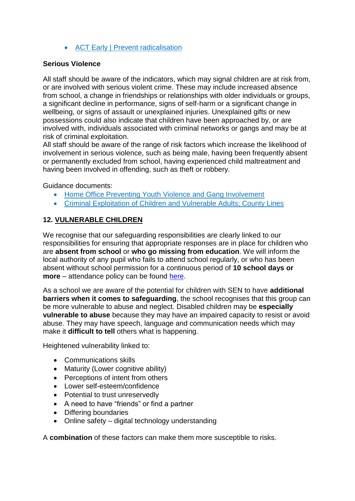[ACT Early | Prevent radicalisation](https://actearly.uk/)

# **Serious Violence**

All staff should be aware of the indicators, which may signal children are at risk from, or are involved with serious violent crime. These may include increased absence from school, a change in friendships or relationships with older individuals or groups, a significant decline in performance, signs of self-harm or a significant change in wellbeing, or signs of assault or unexplained injuries. Unexplained gifts or new possessions could also indicate that children have been approached by, or are involved with, individuals associated with criminal networks or gangs and may be at risk of criminal exploitation.

All staff should be aware of the range of risk factors which increase the likelihood of involvement in serious violence, such as being male, having been frequently absent or permanently excluded from school, having experienced child maltreatment and having been involved in offending, such as theft or robbery.

Guidance documents:

- [Home Office Preventing Youth Violence and Gang Involvement](https://www.gov.uk/government/publications/advice-to-schools-and-colleges-on-gangs-and-youth-violence)
- [Criminal Exploitation of Children and Vulnerable Adults; County Lines](https://www.gov.uk/government/publications/criminal-exploitation-of-children-and-vulnerable-adults-county-lines)

# **12. VULNERABLE CHILDREN**

We recognise that our safeguarding responsibilities are clearly linked to our responsibilities for ensuring that appropriate responses are in place for children who are **absent from school** or **who go missing from education**. We will inform the local authority of any pupil who fails to attend school regularly, or who has been absent without school permission for a continuous period of **10 school days or more** – attendance policy can be found [here.](https://a604b434-aefb-4c50-a9bc-6a21a5ab3cdd.filesusr.com/ugd/cac643_c8b943321c0e4d6faf68782a208ac9e9.pdf)

As a school we are aware of the potential for children with SEN to have **additional barriers when it comes to safeguarding**, the school recognises that this group can be more vulnerable to abuse and neglect. Disabled children may be **especially vulnerable to abuse** because they may have an impaired capacity to resist or avoid abuse. They may have speech, language and communication needs which may make it **difficult to tell** others what is happening.

Heightened vulnerability linked to:

- Communications skills
- Maturity (Lower cognitive ability)
- Perceptions of intent from others
- Lower self-esteem/confidence
- Potential to trust unreservedly
- A need to have "friends" or find a partner
- Differing boundaries
- Online safety digital technology understanding

A **combination** of these factors can make them more susceptible to risks.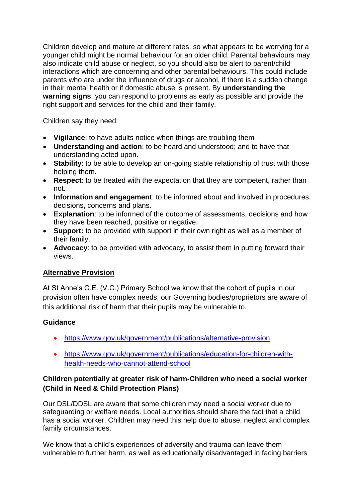Children develop and mature at different rates, so what appears to be worrying for a younger child might be normal behaviour for an older child. Parental behaviours may also indicate child abuse or neglect, so you should also be alert to parent/child interactions which are concerning and other parental behaviours. This could include parents who are under the influence of drugs or alcohol, if there is a sudden change in their mental health or if domestic abuse is present. By **understanding the warning signs**, you can respond to problems as early as possible and provide the right support and services for the child and their family.

Children say they need:

- **Vigilance**: to have adults notice when things are troubling them
- **Understanding and action**: to be heard and understood; and to have that understanding acted upon.
- **Stability**: to be able to develop an on-going stable relationship of trust with those helping them.
- **Respect**: to be treated with the expectation that they are competent, rather than not.
- **Information and engagement**: to be informed about and involved in procedures, decisions, concerns and plans.
- **Explanation**: to be informed of the outcome of assessments, decisions and how they have been reached, positive or negative.
- **Support:** to be provided with support in their own right as well as a member of their family.
- **Advocacy**: to be provided with advocacy, to assist them in putting forward their views.

# **Alternative Provision**

At St Anne's C.E. (V.C.) Primary School we know that the cohort of pupils in our provision often have complex needs, our Governing bodies/proprietors are aware of this additional risk of harm that their pupils may be vulnerable to.

# **Guidance**

- <https://www.gov.uk/government/publications/alternative-provision>
- [https://www.gov.uk/government/publications/education-for-children-with](https://www.gov.uk/government/publications/education-for-children-with-health-needs-who-cannot-attend-school)[health-needs-who-cannot-attend-school](https://www.gov.uk/government/publications/education-for-children-with-health-needs-who-cannot-attend-school)

# **Children potentially at greater risk of harm-Children who need a social worker (Child in Need & Child Protection Plans)**

Our DSL/DDSL are aware that some children may need a social worker due to safeguarding or welfare needs. Local authorities should share the fact that a child has a social worker. Children may need this help due to abuse, neglect and complex family circumstances.

We know that a child's experiences of adversity and trauma can leave them vulnerable to further harm, as well as educationally disadvantaged in facing barriers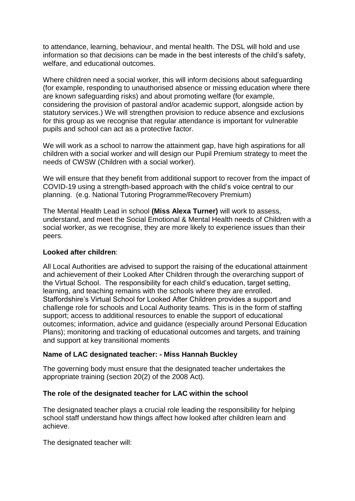to attendance, learning, behaviour, and mental health. The DSL will hold and use information so that decisions can be made in the best interests of the child's safety, welfare, and educational outcomes.

Where children need a social worker, this will inform decisions about safeguarding (for example, responding to unauthorised absence or missing education where there are known safeguarding risks) and about promoting welfare (for example, considering the provision of pastoral and/or academic support, alongside action by statutory services.) We will strengthen provision to reduce absence and exclusions for this group as we recognise that regular attendance is important for vulnerable pupils and school can act as a protective factor.

We will work as a school to narrow the attainment gap, have high aspirations for all children with a social worker and will design our Pupil Premium strategy to meet the needs of CWSW (Children with a social worker).

We will ensure that they benefit from additional support to recover from the impact of COVID-19 using a strength-based approach with the child's voice central to our planning. (e.g. National Tutoring Programme/Recovery Premium)

The Mental Health Lead in school **(Miss Alexa Turner)** will work to assess, understand, and meet the Social Emotional & Mental Health needs of Children with a social worker, as we recognise, they are more likely to experience issues than their peers.

#### **Looked after children**:

All Local Authorities are advised to support the raising of the educational attainment and achievement of their Looked After Children through the overarching support of the Virtual School. The responsibility for each child's education, target setting, learning, and teaching remains with the schools where they are enrolled. Staffordshire's Virtual School for Looked After Children provides a support and challenge role for schools and Local Authority teams. This is in the form of staffing support; access to additional resources to enable the support of educational outcomes; information, advice and guidance (especially around Personal Education Plans); monitoring and tracking of educational outcomes and targets, and training and support at key transitional moments

#### **Name of LAC designated teacher: - Miss Hannah Buckley**

The governing body must ensure that the designated teacher undertakes the appropriate training (section 20(2) of the 2008 Act).

#### **The role of the designated teacher for LAC within the school**

The designated teacher plays a crucial role leading the responsibility for helping school staff understand how things affect how looked after children learn and achieve.

The designated teacher will: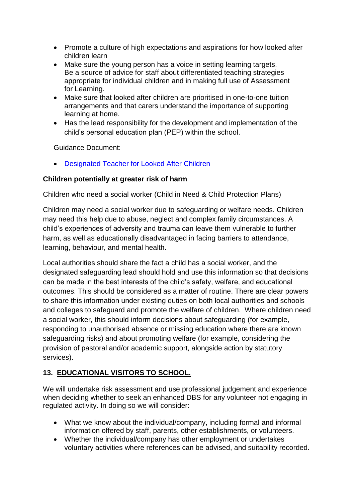- Promote a culture of high expectations and aspirations for how looked after children learn
- Make sure the young person has a voice in setting learning targets. Be a source of advice for staff about differentiated teaching strategies appropriate for individual children and in making full use of Assessment for Learning.
- Make sure that looked after children are prioritised in one-to-one tuition arrangements and that carers understand the importance of supporting learning at home.
- Has the lead responsibility for the development and implementation of the child's personal education plan (PEP) within the school.

Guidance Document:

[Designated Teacher for Looked After Children](https://www.gov.uk/government/publications/designated-teacher-for-looked-after-children)

# **Children potentially at greater risk of harm**

Children who need a social worker (Child in Need & Child Protection Plans)

Children may need a social worker due to safeguarding or welfare needs. Children may need this help due to abuse, neglect and complex family circumstances. A child's experiences of adversity and trauma can leave them vulnerable to further harm, as well as educationally disadvantaged in facing barriers to attendance, learning, behaviour, and mental health.

Local authorities should share the fact a child has a social worker, and the designated safeguarding lead should hold and use this information so that decisions can be made in the best interests of the child's safety, welfare, and educational outcomes. This should be considered as a matter of routine. There are clear powers to share this information under existing duties on both local authorities and schools and colleges to safeguard and promote the welfare of children. Where children need a social worker, this should inform decisions about safeguarding (for example, responding to unauthorised absence or missing education where there are known safeguarding risks) and about promoting welfare (for example, considering the provision of pastoral and/or academic support, alongside action by statutory services).

# **13. EDUCATIONAL VISITORS TO SCHOOL.**

We will undertake risk assessment and use professional judgement and experience when deciding whether to seek an enhanced DBS for any volunteer not engaging in regulated activity. In doing so we will consider:

- What we know about the individual/company, including formal and informal information offered by staff, parents, other establishments, or volunteers.
- Whether the individual/company has other employment or undertakes voluntary activities where references can be advised, and suitability recorded.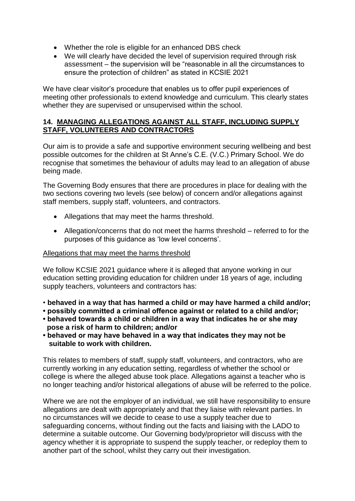- Whether the role is eligible for an enhanced DBS check
- We will clearly have decided the level of supervision required through risk assessment – the supervision will be "reasonable in all the circumstances to ensure the protection of children" as stated in KCSIE 2021

We have clear visitor's procedure that enables us to offer pupil experiences of meeting other professionals to extend knowledge and curriculum. This clearly states whether they are supervised or unsupervised within the school.

#### **14. MANAGING ALLEGATIONS AGAINST ALL STAFF, INCLUDING SUPPLY STAFF, VOLUNTEERS AND CONTRACTORS**

Our aim is to provide a safe and supportive environment securing wellbeing and best possible outcomes for the children at St Anne's C.E. (V.C.) Primary School. We do recognise that sometimes the behaviour of adults may lead to an allegation of abuse being made.

The Governing Body ensures that there are procedures in place for dealing with the two sections covering two levels (see below) of concern and/or allegations against staff members, supply staff, volunteers, and contractors.

- Allegations that may meet the harms threshold.
- Allegation/concerns that do not meet the harms threshold referred to for the purposes of this guidance as 'low level concerns'.

#### Allegations that may meet the harms threshold

We follow KCSIE 2021 guidance where it is alleged that anyone working in our education setting providing education for children under 18 years of age, including supply teachers, volunteers and contractors has:

- **behaved in a way that has harmed a child or may have harmed a child and/or;**
- **possibly committed a criminal offence against or related to a child and/or;**
- **behaved towards a child or children in a way that indicates he or she may pose a risk of harm to children; and/or**
- **behaved or may have behaved in a way that indicates they may not be suitable to work with children.**

This relates to members of staff, supply staff, volunteers, and contractors, who are currently working in any education setting, regardless of whether the school or college is where the alleged abuse took place. Allegations against a teacher who is no longer teaching and/or historical allegations of abuse will be referred to the police.

Where we are not the employer of an individual, we still have responsibility to ensure allegations are dealt with appropriately and that they liaise with relevant parties. In no circumstances will we decide to cease to use a supply teacher due to safeguarding concerns, without finding out the facts and liaising with the LADO to determine a suitable outcome. Our Governing body/proprietor will discuss with the agency whether it is appropriate to suspend the supply teacher, or redeploy them to another part of the school, whilst they carry out their investigation.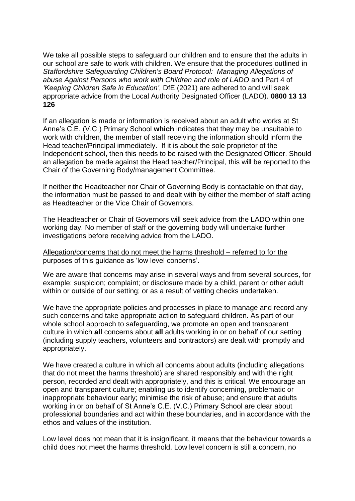We take all possible steps to safeguard our children and to ensure that the adults in our school are safe to work with children. We ensure that the procedures outlined in *Staffordshire Safeguarding Children's Board Protocol: Managing Allegations of abuse Against Persons who work with Children and role of LADO* and Part 4 of *'Keeping Children Safe in Education'*, DfE (2021) are adhered to and will seek appropriate advice from the Local Authority Designated Officer (LADO). **0800 13 13 126**

If an allegation is made or information is received about an adult who works at St Anne's C.E. (V.C.) Primary School **which** indicates that they may be unsuitable to work with children, the member of staff receiving the information should inform the Head teacher/Principal immediately. If it is about the sole proprietor of the Independent school, then this needs to be raised with the Designated Officer. Should an allegation be made against the Head teacher/Principal, this will be reported to the Chair of the Governing Body/management Committee.

If neither the Headteacher nor Chair of Governing Body is contactable on that day, the information must be passed to and dealt with by either the member of staff acting as Headteacher or the Vice Chair of Governors.

The Headteacher or Chair of Governors will seek advice from the LADO within one working day. No member of staff or the governing body will undertake further investigations before receiving advice from the LADO.

#### Allegation/concerns that do not meet the harms threshold – referred to for the purposes of this guidance as 'low level concerns'.

We are aware that concerns may arise in several ways and from several sources, for example: suspicion; complaint; or disclosure made by a child, parent or other adult within or outside of our setting; or as a result of vetting checks undertaken.

We have the appropriate policies and processes in place to manage and record any such concerns and take appropriate action to safeguard children. As part of our whole school approach to safeguarding, we promote an open and transparent culture in which **all** concerns about **all** adults working in or on behalf of our setting (including supply teachers, volunteers and contractors) are dealt with promptly and appropriately.

We have created a culture in which all concerns about adults (including allegations that do not meet the harms threshold) are shared responsibly and with the right person, recorded and dealt with appropriately, and this is critical. We encourage an open and transparent culture; enabling us to identify concerning, problematic or inappropriate behaviour early; minimise the risk of abuse; and ensure that adults working in or on behalf of St Anne's C.E. (V.C.) Primary School are clear about professional boundaries and act within these boundaries, and in accordance with the ethos and values of the institution.

Low level does not mean that it is insignificant, it means that the behaviour towards a child does not meet the harms threshold. Low level concern is still a concern, no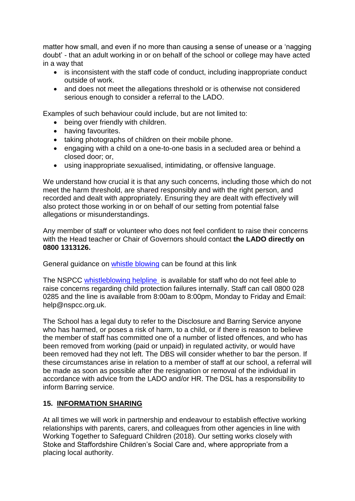matter how small, and even if no more than causing a sense of unease or a 'nagging doubt' - that an adult working in or on behalf of the school or college may have acted in a way that

- is inconsistent with the staff code of conduct, including inappropriate conduct outside of work.
- and does not meet the allegations threshold or is otherwise not considered serious enough to consider a referral to the LADO.

Examples of such behaviour could include, but are not limited to:

- being over friendly with children.
- having favourites.
- taking photographs of children on their mobile phone.
- engaging with a child on a one-to-one basis in a secluded area or behind a closed door; or,
- using inappropriate sexualised, intimidating, or offensive language.

We understand how crucial it is that any such concerns, including those which do not meet the harm threshold, are shared responsibly and with the right person, and recorded and dealt with appropriately. Ensuring they are dealt with effectively will also protect those working in or on behalf of our setting from potential false allegations or misunderstandings.

Any member of staff or volunteer who does not feel confident to raise their concerns with the Head teacher or Chair of Governors should contact **the LADO directly on 0800 1313126.**

General guidance on [whistle blowing](https://www.gov.uk/whistleblowing) can be found at this link

The NSPCC [whistleblowing helpline](https://www.gov.uk/government/news/home-office-launches-child-abuse-whistleblowing-helpline) is available for staff who do not feel able to raise concerns regarding child protection failures internally. Staff can call 0800 028 0285 and the line is available from 8:00am to 8:00pm, Monday to Friday and Email: help@nspcc.org.uk.

The School has a legal duty to refer to the Disclosure and Barring Service anyone who has harmed, or poses a risk of harm, to a child, or if there is reason to believe the member of staff has committed one of a number of listed offences, and who has been removed from working (paid or unpaid) in regulated activity, or would have been removed had they not left. The DBS will consider whether to bar the person. If these circumstances arise in relation to a member of staff at our school, a referral will be made as soon as possible after the resignation or removal of the individual in accordance with advice from the LADO and/or HR. The DSL has a responsibility to inform Barring service.

# **15. INFORMATION SHARING**

At all times we will work in partnership and endeavour to establish effective working relationships with parents, carers, and colleagues from other agencies in line with Working Together to Safeguard Children (2018). Our setting works closely with Stoke and Staffordshire Children's Social Care and, where appropriate from a placing local authority.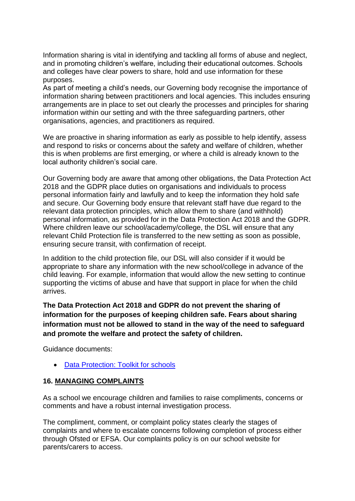Information sharing is vital in identifying and tackling all forms of abuse and neglect, and in promoting children's welfare, including their educational outcomes. Schools and colleges have clear powers to share, hold and use information for these purposes.

As part of meeting a child's needs, our Governing body recognise the importance of information sharing between practitioners and local agencies. This includes ensuring arrangements are in place to set out clearly the processes and principles for sharing information within our setting and with the three safeguarding partners, other organisations, agencies, and practitioners as required.

We are proactive in sharing information as early as possible to help identify, assess and respond to risks or concerns about the safety and welfare of children, whether this is when problems are first emerging, or where a child is already known to the local authority children's social care.

Our Governing body are aware that among other obligations, the Data Protection Act 2018 and the GDPR place duties on organisations and individuals to process personal information fairly and lawfully and to keep the information they hold safe and secure. Our Governing body ensure that relevant staff have due regard to the relevant data protection principles, which allow them to share (and withhold) personal information, as provided for in the Data Protection Act 2018 and the GDPR. Where children leave our school/academy/college, the DSL will ensure that any relevant Child Protection file is transferred to the new setting as soon as possible, ensuring secure transit, with confirmation of receipt.

In addition to the child protection file, our DSL will also consider if it would be appropriate to share any information with the new school/college in advance of the child leaving. For example, information that would allow the new setting to continue supporting the victims of abuse and have that support in place for when the child arrives.

**The Data Protection Act 2018 and GDPR do not prevent the sharing of information for the purposes of keeping children safe. Fears about sharing information must not be allowed to stand in the way of the need to safeguard and promote the welfare and protect the safety of children.**

Guidance documents:

• [Data Protection: Toolkit for schools](https://assets.publishing.service.gov.uk/government/uploads/system/uploads/attachment_data/file/747620/Data_Protection_Toolkit_for_Schools_OpenBeta.pdf)

# **16. MANAGING COMPLAINTS**

As a school we encourage children and families to raise compliments, concerns or comments and have a robust internal investigation process.

The compliment, comment, or complaint policy states clearly the stages of complaints and where to escalate concerns following completion of process either through Ofsted or EFSA. Our complaints policy is on our school website for parents/carers to access.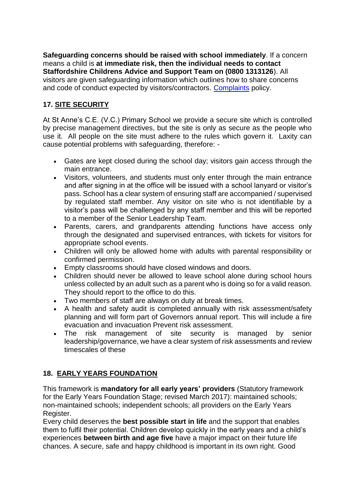**Safeguarding concerns should be raised with school immediately**. If a concern means a child is **at immediate risk, then the individual needs to contact Staffordshire Childrens Advice and Support Team on (0800 1313126**). All visitors are given safeguarding information which outlines how to share concerns and code of conduct expected by visitors/contractors. [Complaints](https://a604b434-aefb-4c50-a9bc-6a21a5ab3cdd.filesusr.com/ugd/cac643_0e6de4fed39047318cbccbb1091808bf.pdf) policy.

# **17. SITE SECURITY**

At St Anne's C.E. (V.C.) Primary School we provide a secure site which is controlled by precise management directives, but the site is only as secure as the people who use it. All people on the site must adhere to the rules which govern it. Laxity can cause potential problems with safeguarding, therefore: -

- Gates are kept closed during the school day; visitors gain access through the main entrance.
- Visitors, volunteers, and students must only enter through the main entrance and after signing in at the office will be issued with a school lanyard or visitor's pass. School has a clear system of ensuring staff are accompanied / supervised by regulated staff member. Any visitor on site who is not identifiable by a visitor's pass will be challenged by any staff member and this will be reported to a member of the Senior Leadership Team.
- Parents, carers, and grandparents attending functions have access only through the designated and supervised entrances, with tickets for visitors for appropriate school events.
- Children will only be allowed home with adults with parental responsibility or confirmed permission.
- Empty classrooms should have closed windows and doors.
- Children should never be allowed to leave school alone during school hours unless collected by an adult such as a parent who is doing so for a valid reason. They should report to the office to do this.
- Two members of staff are always on duty at break times.
- A health and safety audit is completed annually with risk assessment/safety planning and will form part of Governors annual report. This will include a fire evacuation and invacuation Prevent risk assessment.
- The risk management of site security is managed by senior leadership/governance, we have a clear system of risk assessments and review timescales of these

# **18. EARLY YEARS FOUNDATION**

This framework is **mandatory for all early years' providers** (Statutory framework for the Early Years Foundation Stage; revised March 2017): maintained schools; non-maintained schools; independent schools; all providers on the Early Years Register.

Every child deserves the **best possible start in life** and the support that enables them to fulfil their potential. Children develop quickly in the early years and a child's experiences **between birth and age five** have a major impact on their future life chances. A secure, safe and happy childhood is important in its own right. Good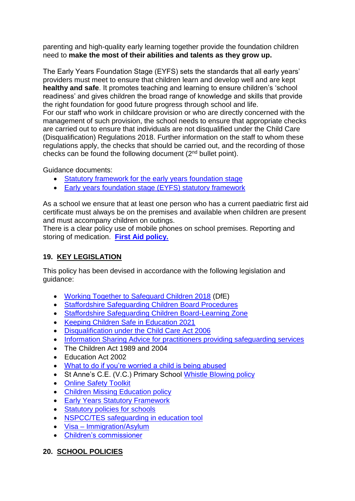parenting and high-quality early learning together provide the foundation children need to **make the most of their abilities and talents as they grow up.** 

The Early Years Foundation Stage (EYFS) sets the standards that all early years' providers must meet to ensure that children learn and develop well and are kept **healthy and safe**. It promotes teaching and learning to ensure children's 'school readiness' and gives children the broad range of knowledge and skills that provide the right foundation for good future progress through school and life. For our staff who work in childcare provision or who are directly concerned with the management of such provision, the school needs to ensure that appropriate checks

are carried out to ensure that individuals are not disqualified under the Child Care (Disqualification) Regulations 2018. Further information on the staff to whom these regulations apply, the checks that should be carried out, and the recording of those checks can be found the following document (2nd bullet point).

Guidance documents:

- [Statutory framework for the early years foundation stage](https://assets.publishing.service.gov.uk/government/uploads/system/uploads/attachment_data/file/974907/EYFS_framework_-_March_2021.pdf)
- [Early years foundation stage \(EYFS\) statutory framework](https://www.gov.uk/government/publications/early-years-foundation-stage-framework--2)

As a school we ensure that at least one person who has a current paediatric first aid certificate must always be on the premises and available when children are present and must accompany children on outings.

There is a clear policy use of mobile phones on school premises. Reporting and storing of medication. **[First Aid policy.](https://a604b434-aefb-4c50-a9bc-6a21a5ab3cdd.filesusr.com/ugd/cac643_3f44b7c9eaab422a8de6616225ffa832.pdf)**

# **19. KEY LEGISLATION**

This policy has been devised in accordance with the following legislation and guidance:

- [Working Together to Safeguard Children 2018](https://www.gov.uk/government/publications/working-together-to-safeguard-children--2) (DfE)
- [Staffordshire Safeguarding Children Board Procedures](http://www.staffsscb.org.uk/professionals/procedures/)
- [Staffordshire Safeguarding Children Board-Learning Zone](https://www.staffsscb.org.uk/learning-zone/)
- Keeping Children Safe in Education 2021
- [Disqualification under the Child Care Act 2006](https://www.gov.uk/government/publications/disqualification-under-the-childcare-act-2006)
- [Information Sharing Advice for practitioners providing safeguarding services](https://www.gov.uk/government/publications/safeguarding-practitioners-information-sharing-advice)
- The Children Act 1989 and 2004
- Education Act 2002
- [What to do if you're worried a child is being abused](https://www.gov.uk/government/publications/what-to-do-if-youre-worried-a-child-is-being-abused)
- St Anne's C.E. (V.C.) Primary School [Whistle Blowing policy](https://a604b434-aefb-4c50-a9bc-6a21a5ab3cdd.filesusr.com/ugd/cac643_e8634c525a5541bcb5edfaec90952648.pdf)
- **[Online Safety Toolkit](https://www.staffordshire.gov.uk/Education/Learning-options-and-careers/Getting-the-best-out-of-school/Staying-safe-online.aspx)**
- [Children Missing Education policy](https://www.staffordshire.gov.uk/Education/Education-welfare/Children-missing-from-education-policy.aspx)
- **[Early Years Statutory Framework](https://www.gov.uk/government/uploads/system/uploads/attachment_data/file/596629/EYFS_STATUTORY_FRAMEWORK_2017.pdf)**
- [Statutory policies for schools](https://www.gov.uk/government/uploads/system/uploads/attachment_data/file/357068/statutory_schools_policies_Sept_14_FINAL.pdf)
- [NSPCC/TES safeguarding in education tool](https://esat.nspcc.org.uk/Account/login.aspx?ReturnUrl=%2f)
- Visa [Immigration/Asylum](https://www.gov.uk/browse/visas-immigration/asylum)
- [Children's commissioner](http://www.childrenscommissioner.gov.uk/publications)

# **20. SCHOOL POLICIES**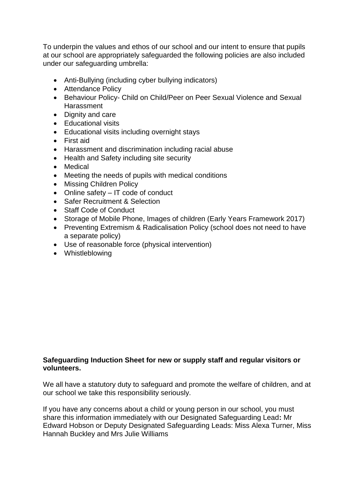To underpin the values and ethos of our school and our intent to ensure that pupils at our school are appropriately safeguarded the following policies are also included under our safeguarding umbrella:

- Anti-Bullying (including cyber bullying indicators)
- Attendance Policy
- Behaviour Policy- Child on Child/Peer on Peer Sexual Violence and Sexual Harassment
- Dignity and care
- Educational visits
- Educational visits including overnight stavs
- First aid
- Harassment and discrimination including racial abuse
- Health and Safety including site security
- Medical
- Meeting the needs of pupils with medical conditions
- Missing Children Policy
- Online safety IT code of conduct
- Safer Recruitment & Selection
- Staff Code of Conduct
- Storage of Mobile Phone, Images of children (Early Years Framework 2017)
- Preventing Extremism & Radicalisation Policy (school does not need to have a separate policy)
- Use of reasonable force (physical intervention)
- Whistleblowing

# **Safeguarding Induction Sheet for new or supply staff and regular visitors or volunteers.**

We all have a statutory duty to safeguard and promote the welfare of children, and at our school we take this responsibility seriously.

If you have any concerns about a child or young person in our school, you must share this information immediately with our Designated Safeguarding Lead**:** Mr Edward Hobson or Deputy Designated Safeguarding Leads: Miss Alexa Turner, Miss Hannah Buckley and Mrs Julie Williams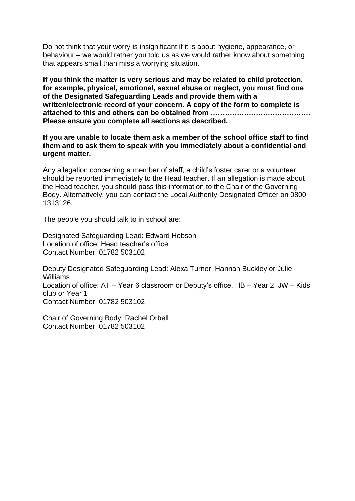Do not think that your worry is insignificant if it is about hygiene, appearance, or behaviour – we would rather you told us as we would rather know about something that appears small than miss a worrying situation.

**If you think the matter is very serious and may be related to child protection, for example, physical, emotional, sexual abuse or neglect, you must find one of the Designated Safeguarding Leads and provide them with a written/electronic record of your concern. A copy of the form to complete is attached to this and others can be obtained from …………………………………… Please ensure you complete all sections as described.**

**If you are unable to locate them ask a member of the school office staff to find them and to ask them to speak with you immediately about a confidential and urgent matter.**

Any allegation concerning a member of staff, a child's foster carer or a volunteer should be reported immediately to the Head teacher. If an allegation is made about the Head teacher, you should pass this information to the Chair of the Governing Body. Alternatively, you can contact the Local Authority Designated Officer on 0800 1313126.

The people you should talk to in school are:

Designated Safeguarding Lead: Edward Hobson Location of office: Head teacher's office Contact Number: 01782 503102

Deputy Designated Safeguarding Lead: Alexa Turner, Hannah Buckley or Julie Williams Location of office: AT – Year 6 classroom or Deputy's office, HB – Year 2, JW – Kids club or Year 1 Contact Number: 01782 503102

Chair of Governing Body: Rachel Orbell Contact Number: 01782 503102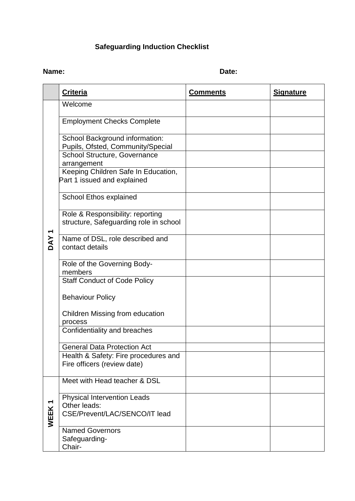# **Safeguarding Induction Checklist**

# **Name:** Date:

|            | <b>Criteria</b>                                                                     | <b>Comments</b> | <b>Signature</b> |
|------------|-------------------------------------------------------------------------------------|-----------------|------------------|
|            | Welcome                                                                             |                 |                  |
| <b>DAY</b> | <b>Employment Checks Complete</b>                                                   |                 |                  |
|            | School Background information:<br>Pupils, Ofsted, Community/Special                 |                 |                  |
|            | School Structure, Governance<br>arrangement                                         |                 |                  |
|            | Keeping Children Safe In Education,<br>Part 1 issued and explained                  |                 |                  |
|            | School Ethos explained                                                              |                 |                  |
|            | Role & Responsibility: reporting<br>structure, Safeguarding role in school          |                 |                  |
|            | Name of DSL, role described and<br>contact details                                  |                 |                  |
|            | Role of the Governing Body-<br>members                                              |                 |                  |
|            | <b>Staff Conduct of Code Policy</b>                                                 |                 |                  |
|            | <b>Behaviour Policy</b>                                                             |                 |                  |
|            | Children Missing from education<br>process                                          |                 |                  |
|            | Confidentiality and breaches                                                        |                 |                  |
|            | <b>General Data Protection Act</b><br>Health & Safety: Fire procedures and          |                 |                  |
|            | Fire officers (review date)                                                         |                 |                  |
| WEEK1      | Meet with Head teacher & DSL                                                        |                 |                  |
|            | <b>Physical Intervention Leads</b><br>Other leads:<br>CSE/Prevent/LAC/SENCO/IT lead |                 |                  |
|            | <b>Named Governors</b><br>Safeguarding-<br>Chair-                                   |                 |                  |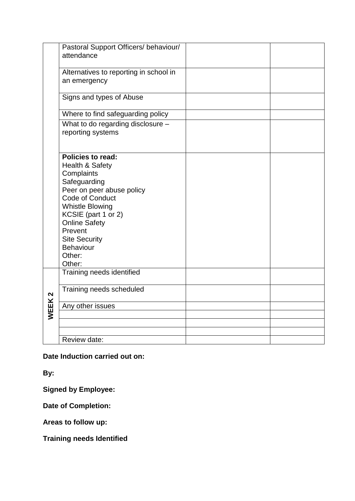|                   | Pastoral Support Officers/ behaviour/                                                                                                                                                                                                                                  |  |
|-------------------|------------------------------------------------------------------------------------------------------------------------------------------------------------------------------------------------------------------------------------------------------------------------|--|
|                   | attendance                                                                                                                                                                                                                                                             |  |
|                   | Alternatives to reporting in school in<br>an emergency                                                                                                                                                                                                                 |  |
|                   | Signs and types of Abuse                                                                                                                                                                                                                                               |  |
|                   | Where to find safeguarding policy                                                                                                                                                                                                                                      |  |
|                   | What to do regarding disclosure -<br>reporting systems                                                                                                                                                                                                                 |  |
|                   | <b>Policies to read:</b><br>Health & Safety<br>Complaints<br>Safeguarding<br>Peer on peer abuse policy<br>Code of Conduct<br><b>Whistle Blowing</b><br>KCSIE (part 1 or 2)<br><b>Online Safety</b><br>Prevent<br><b>Site Security</b><br>Behaviour<br>Other:<br>Other: |  |
|                   | Training needs identified                                                                                                                                                                                                                                              |  |
|                   | Training needs scheduled                                                                                                                                                                                                                                               |  |
| WEEK <sub>2</sub> | Any other issues                                                                                                                                                                                                                                                       |  |
|                   |                                                                                                                                                                                                                                                                        |  |
|                   |                                                                                                                                                                                                                                                                        |  |
|                   |                                                                                                                                                                                                                                                                        |  |
|                   | Review date:                                                                                                                                                                                                                                                           |  |

**Date Induction carried out on:**

**By:**

**Signed by Employee:**

**Date of Completion:**

**Areas to follow up:**

**Training needs Identified**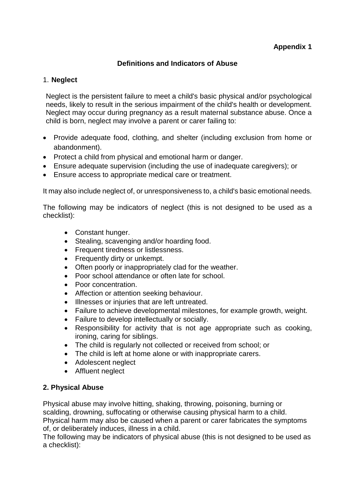# **Definitions and Indicators of Abuse**

#### 1. **Neglect**

Neglect is the persistent failure to meet a child's basic physical and/or psychological needs, likely to result in the serious impairment of the child's health or development. Neglect may occur during pregnancy as a result maternal substance abuse. Once a child is born, neglect may involve a parent or carer failing to:

- Provide adequate food, clothing, and shelter (including exclusion from home or abandonment).
- Protect a child from physical and emotional harm or danger.
- Ensure adequate supervision (including the use of inadequate caregivers); or
- Ensure access to appropriate medical care or treatment.

It may also include neglect of, or unresponsiveness to, a child's basic emotional needs.

The following may be indicators of neglect (this is not designed to be used as a checklist):

- Constant hunger.
- Stealing, scavenging and/or hoarding food.
- Frequent tiredness or listlessness.
- Frequently dirty or unkempt.
- Often poorly or inappropriately clad for the weather.
- Poor school attendance or often late for school.
- Poor concentration.
- Affection or attention seeking behaviour.
- Illnesses or injuries that are left untreated.
- Failure to achieve developmental milestones, for example growth, weight.
- Failure to develop intellectually or socially.
- Responsibility for activity that is not age appropriate such as cooking, ironing, caring for siblings.
- The child is regularly not collected or received from school; or
- The child is left at home alone or with inappropriate carers.
- Adolescent neglect
- Affluent neglect

# **2. Physical Abuse**

Physical abuse may involve hitting, shaking, throwing, poisoning, burning or scalding, drowning, suffocating or otherwise causing physical harm to a child. Physical harm may also be caused when a parent or carer fabricates the symptoms of, or deliberately induces, illness in a child.

The following may be indicators of physical abuse (this is not designed to be used as a checklist):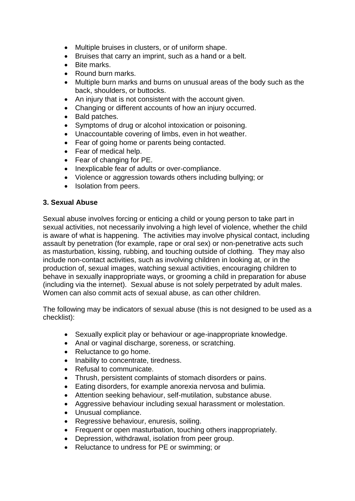- Multiple bruises in clusters, or of uniform shape.
- Bruises that carry an imprint, such as a hand or a belt.
- Bite marks.
- Round burn marks.
- Multiple burn marks and burns on unusual areas of the body such as the back, shoulders, or buttocks.
- An injury that is not consistent with the account given.
- Changing or different accounts of how an injury occurred.
- Bald patches.
- Symptoms of drug or alcohol intoxication or poisoning.
- Unaccountable covering of limbs, even in hot weather.
- Fear of going home or parents being contacted.
- Fear of medical help.
- Fear of changing for PE.
- Inexplicable fear of adults or over-compliance.
- Violence or aggression towards others including bullying; or
- Isolation from peers.

# **3. Sexual Abuse**

Sexual abuse involves forcing or enticing a child or young person to take part in sexual activities, not necessarily involving a high level of violence, whether the child is aware of what is happening. The activities may involve physical contact, including assault by penetration (for example, rape or oral sex) or non-penetrative acts such as masturbation, kissing, rubbing, and touching outside of clothing*.* They may also include non-contact activities, such as involving children in looking at, or in the production of, sexual images, watching sexual activities, encouraging children to behave in sexually inappropriate ways, or grooming a child in preparation for abuse (including via the internet). Sexual abuse is not solely perpetrated by adult males. Women can also commit acts of sexual abuse, as can other children.

The following may be indicators of sexual abuse (this is not designed to be used as a checklist):

- Sexually explicit play or behaviour or age-inappropriate knowledge.
- Anal or vaginal discharge, soreness, or scratching.
- Reluctance to go home.
- Inability to concentrate, tiredness.
- Refusal to communicate.
- Thrush, persistent complaints of stomach disorders or pains.
- Eating disorders, for example anorexia nervosa and bulimia.
- Attention seeking behaviour, self-mutilation, substance abuse.
- Aggressive behaviour including sexual harassment or molestation.
- Unusual compliance.
- Regressive behaviour, enuresis, soiling.
- Frequent or open masturbation, touching others inappropriately.
- Depression, withdrawal, isolation from peer group.
- Reluctance to undress for PE or swimming: or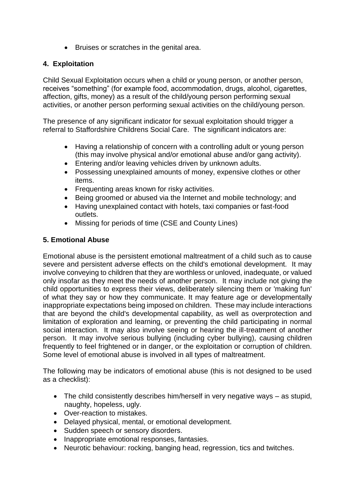• Bruises or scratches in the genital area.

# **4. Exploitation**

Child Sexual Exploitation occurs when a child or young person, or another person, receives "something" (for example food, accommodation, drugs, alcohol, cigarettes, affection, gifts, money) as a result of the child/young person performing sexual activities, or another person performing sexual activities on the child/young person.

The presence of any significant indicator for sexual exploitation should trigger a referral to Staffordshire Childrens Social Care. The significant indicators are:

- Having a relationship of concern with a controlling adult or young person (this may involve physical and/or emotional abuse and/or gang activity).
- Entering and/or leaving vehicles driven by unknown adults.
- Possessing unexplained amounts of money, expensive clothes or other items.
- Frequenting areas known for risky activities.
- Being groomed or abused via the Internet and mobile technology; and
- Having unexplained contact with hotels, taxi companies or fast-food outlets.
- Missing for periods of time (CSE and County Lines)

# **5. Emotional Abuse**

Emotional abuse is the persistent emotional maltreatment of a child such as to cause severe and persistent adverse effects on the child's emotional development. It may involve conveying to children that they are worthless or unloved, inadequate, or valued only insofar as they meet the needs of another person. It may include not giving the child opportunities to express their views, deliberately silencing them or 'making fun' of what they say or how they communicate. It may feature age or developmentally inappropriate expectations being imposed on children. These may include interactions that are beyond the child's developmental capability, as well as overprotection and limitation of exploration and learning, or preventing the child participating in normal social interaction. It may also involve seeing or hearing the ill-treatment of another person. It may involve serious bullying (including cyber bullying)*,* causing children frequently to feel frightened or in danger, or the exploitation or corruption of children. Some level of emotional abuse is involved in all types of maltreatment.

The following may be indicators of emotional abuse (this is not designed to be used as a checklist):

- The child consistently describes him/herself in very negative ways as stupid, naughty, hopeless, ugly.
- Over-reaction to mistakes.
- Delayed physical, mental, or emotional development.
- Sudden speech or sensory disorders.
- Inappropriate emotional responses, fantasies.
- Neurotic behaviour: rocking, banging head, regression, tics and twitches.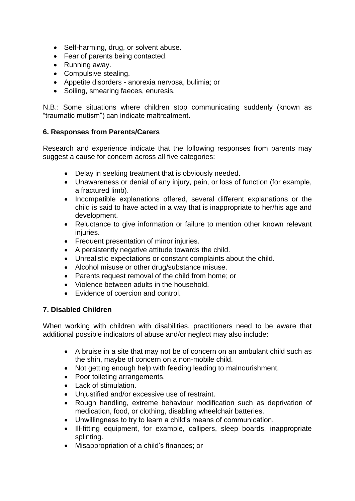- Self-harming, drug, or solvent abuse.
- Fear of parents being contacted.
- Running away.
- Compulsive stealing.
- Appetite disorders anorexia nervosa, bulimia; or
- Soiling, smearing faeces, enuresis.

N.B.: Some situations where children stop communicating suddenly (known as "traumatic mutism") can indicate maltreatment.

# **6. Responses from Parents/Carers**

Research and experience indicate that the following responses from parents may suggest a cause for concern across all five categories:

- Delay in seeking treatment that is obviously needed.
- Unawareness or denial of any injury, pain, or loss of function (for example, a fractured limb).
- Incompatible explanations offered, several different explanations or the child is said to have acted in a way that is inappropriate to her/his age and development.
- Reluctance to give information or failure to mention other known relevant injuries.
- Frequent presentation of minor injuries.
- A persistently negative attitude towards the child.
- Unrealistic expectations or constant complaints about the child.
- Alcohol misuse or other drug/substance misuse.
- Parents request removal of the child from home; or
- Violence between adults in the household.
- Evidence of coercion and control.

#### **7. Disabled Children**

When working with children with disabilities, practitioners need to be aware that additional possible indicators of abuse and/or neglect may also include:

- A bruise in a site that may not be of concern on an ambulant child such as the shin, maybe of concern on a non-mobile child.
- Not getting enough help with feeding leading to malnourishment.
- Poor toileting arrangements.
- Lack of stimulation.
- Uniustified and/or excessive use of restraint.
- Rough handling, extreme behaviour modification such as deprivation of medication, food, or clothing, disabling wheelchair batteries.
- Unwillingness to try to learn a child's means of communication.
- Ill-fitting equipment, for example, callipers, sleep boards, inappropriate splinting.
- Misappropriation of a child's finances; or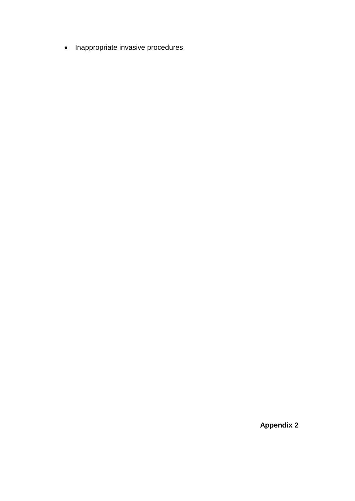• Inappropriate invasive procedures.

 **Appendix 2**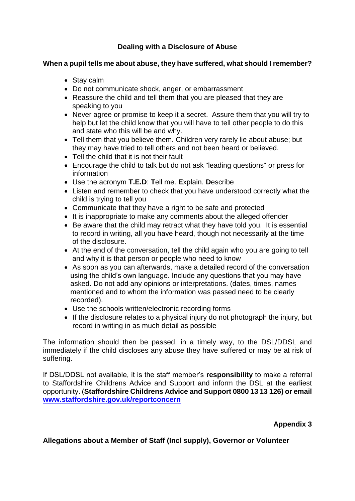# **Dealing with a Disclosure of Abuse**

#### **When a pupil tells me about abuse, they have suffered, what should I remember?**

- Stay calm
- Do not communicate shock, anger, or embarrassment
- Reassure the child and tell them that you are pleased that they are speaking to you
- Never agree or promise to keep it a secret. Assure them that you will try to help but let the child know that you will have to tell other people to do this and state who this will be and why.
- Tell them that you believe them. Children very rarely lie about abuse; but they may have tried to tell others and not been heard or believed.
- Tell the child that it is not their fault
- Encourage the child to talk but do not ask "leading questions" or press for information
- Use the acronym **T.E.D**: **T**ell me. **E**xplain. **D**escribe
- Listen and remember to check that you have understood correctly what the child is trying to tell you
- Communicate that they have a right to be safe and protected
- It is inappropriate to make any comments about the alleged offender
- Be aware that the child may retract what they have told you. It is essential to record in writing, all you have heard, though not necessarily at the time of the disclosure.
- At the end of the conversation, tell the child again who you are going to tell and why it is that person or people who need to know
- As soon as you can afterwards, make a detailed record of the conversation using the child's own language. Include any questions that you may have asked. Do not add any opinions or interpretations. (dates, times, names mentioned and to whom the information was passed need to be clearly recorded).
- Use the schools written/electronic recording forms
- If the disclosure relates to a physical injury do not photograph the injury, but record in writing in as much detail as possible

The information should then be passed, in a timely way, to the DSL/DDSL and immediately if the child discloses any abuse they have suffered or may be at risk of suffering.

If DSL/DDSL not available, it is the staff member's **responsibility** to make a referral to Staffordshire Childrens Advice and Support and inform the DSL at the earliest opportunity. (**Staffordshire Childrens Advice and Support 0800 13 13 126) or email [www.staffordshire.gov.uk/reportconcern](http://www.staffordshire.gov.uk/reportconcern)**

# **Appendix 3**

# **Allegations about a Member of Staff (Incl supply), Governor or Volunteer**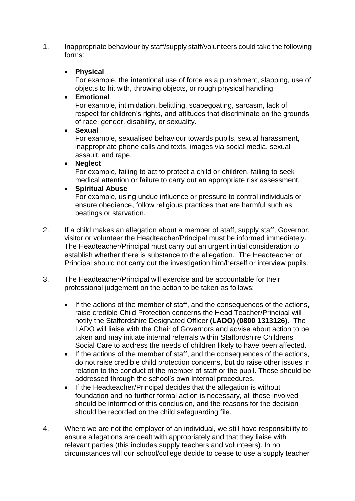1. Inappropriate behaviour by staff/supply staff/volunteers could take the following forms:

# **Physical**

For example, the intentional use of force as a punishment, slapping, use of objects to hit with, throwing objects, or rough physical handling.

#### **Emotional**

For example, intimidation, belittling, scapegoating, sarcasm, lack of respect for children's rights, and attitudes that discriminate on the grounds of race, gender, disability, or sexuality.

**Sexual**

For example, sexualised behaviour towards pupils, sexual harassment, inappropriate phone calls and texts, images via social media, sexual assault, and rape.

#### **Neglect**

For example, failing to act to protect a child or children, failing to seek medical attention or failure to carry out an appropriate risk assessment.

# **Spiritual Abuse**

For example, using undue influence or pressure to control individuals or ensure obedience, follow religious practices that are harmful such as beatings or starvation.

- 2. If a child makes an allegation about a member of staff, supply staff, Governor, visitor or volunteer the Headteacher/Principal must be informed immediately. The Headteacher/Principal must carry out an urgent initial consideration to establish whether there is substance to the allegation. The Headteacher or Principal should not carry out the investigation him/herself or interview pupils.
- 3. The Headteacher/Principal will exercise and be accountable for their professional judgement on the action to be taken as follows:
	- If the actions of the member of staff, and the consequences of the actions, raise credible Child Protection concerns the Head Teacher/Principal will notify the Staffordshire Designated Officer **(LADO) (0800 1313126)**. The LADO will liaise with the Chair of Governors and advise about action to be taken and may initiate internal referrals within Staffordshire Childrens Social Care to address the needs of children likely to have been affected.
	- If the actions of the member of staff, and the consequences of the actions, do not raise credible child protection concerns, but do raise other issues in relation to the conduct of the member of staff or the pupil. These should be addressed through the school's own internal procedures.
	- If the Headteacher/Principal decides that the allegation is without foundation and no further formal action is necessary, all those involved should be informed of this conclusion, and the reasons for the decision should be recorded on the child safeguarding file.
- 4. Where we are not the employer of an individual, we still have responsibility to ensure allegations are dealt with appropriately and that they liaise with relevant parties (this includes supply teachers and volunteers). In no circumstances will our school/college decide to cease to use a supply teacher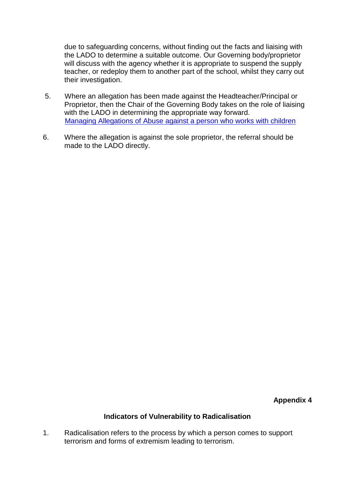due to safeguarding concerns, without finding out the facts and liaising with the LADO to determine a suitable outcome. Our Governing body/proprietor will discuss with the agency whether it is appropriate to suspend the supply teacher, or redeploy them to another part of the school, whilst they carry out their investigation.

- 5. Where an allegation has been made against the Headteacher/Principal or Proprietor, then the Chair of the Governing Body takes on the role of liaising with the LADO in determining the appropriate way forward. [Managing Allegations of Abuse against a person who works with children](https://www.staffsscb.org.uk/wp-content/uploads/2020/09/Allegations-of-abuse-made-against-a-person-who-works-with-children.pdf)
- 6. Where the allegation is against the sole proprietor, the referral should be made to the LADO directly.

**Appendix 4**

#### **Indicators of Vulnerability to Radicalisation**

1. Radicalisation refers to the process by which a person comes to support terrorism and forms of extremism leading to terrorism.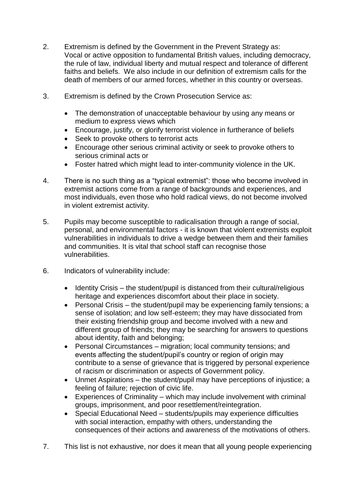- 2. Extremism is defined by the Government in the Prevent Strategy as: Vocal or active opposition to fundamental British values, including democracy, the rule of law, individual liberty and mutual respect and tolerance of different faiths and beliefs. We also include in our definition of extremism calls for the death of members of our armed forces, whether in this country or overseas.
- 3. Extremism is defined by the Crown Prosecution Service as:
	- The demonstration of unacceptable behaviour by using any means or medium to express views which
	- Encourage, justify, or glorify terrorist violence in furtherance of beliefs
	- Seek to provoke others to terrorist acts
	- Encourage other serious criminal activity or seek to provoke others to serious criminal acts or
	- Foster hatred which might lead to inter-community violence in the UK.
- 4. There is no such thing as a "typical extremist": those who become involved in extremist actions come from a range of backgrounds and experiences, and most individuals, even those who hold radical views, do not become involved in violent extremist activity.
- 5. Pupils may become susceptible to radicalisation through a range of social, personal, and environmental factors - it is known that violent extremists exploit vulnerabilities in individuals to drive a wedge between them and their families and communities. It is vital that school staff can recognise those vulnerabilities.
- 6. Indicators of vulnerability include:
	- $\bullet$  Identity Crisis the student/pupil is distanced from their cultural/religious heritage and experiences discomfort about their place in society.
	- Personal Crisis the student/pupil may be experiencing family tensions; a sense of isolation; and low self-esteem; they may have dissociated from their existing friendship group and become involved with a new and different group of friends; they may be searching for answers to questions about identity, faith and belonging;
	- Personal Circumstances migration; local community tensions; and events affecting the student/pupil's country or region of origin may contribute to a sense of grievance that is triggered by personal experience of racism or discrimination or aspects of Government policy.
	- Unmet Aspirations the student/pupil may have perceptions of injustice; a feeling of failure; rejection of civic life.
	- Experiences of Criminality which may include involvement with criminal groups, imprisonment, and poor resettlement/reintegration.
	- Special Educational Need students/pupils may experience difficulties with social interaction, empathy with others, understanding the consequences of their actions and awareness of the motivations of others.
- 7. This list is not exhaustive, nor does it mean that all young people experiencing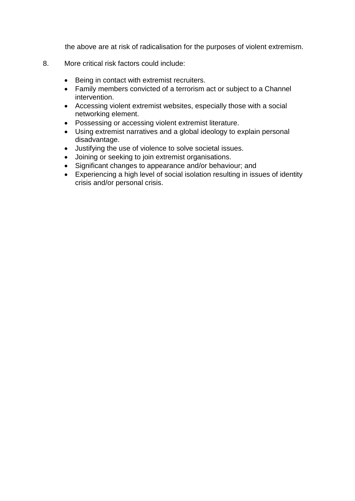the above are at risk of radicalisation for the purposes of violent extremism.

- 8. More critical risk factors could include:
	- Being in contact with extremist recruiters.
	- Family members convicted of a terrorism act or subject to a Channel intervention.
	- Accessing violent extremist websites, especially those with a social networking element.
	- Possessing or accessing violent extremist literature.
	- Using extremist narratives and a global ideology to explain personal disadvantage.
	- Justifying the use of violence to solve societal issues.
	- Joining or seeking to join extremist organisations.
	- Significant changes to appearance and/or behaviour; and
	- Experiencing a high level of social isolation resulting in issues of identity crisis and/or personal crisis.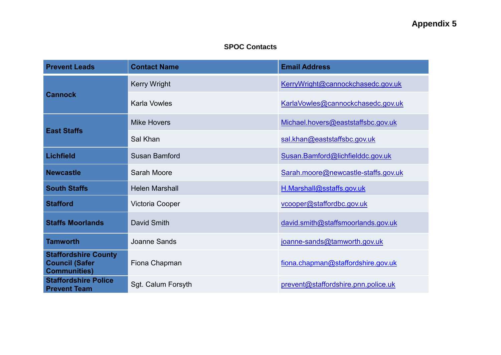# **Appendix 5**

# **SPOC Contacts**

| <b>Prevent Leads</b>                                                        | <b>Contact Name</b>   | <b>Email Address</b>                |
|-----------------------------------------------------------------------------|-----------------------|-------------------------------------|
|                                                                             | <b>Kerry Wright</b>   | KerryWright@cannockchasedc.gov.uk   |
| <b>Cannock</b>                                                              | <b>Karla Vowles</b>   | KarlaVowles@cannockchasedc.gov.uk   |
| <b>East Staffs</b>                                                          | <b>Mike Hovers</b>    | Michael.hovers@eaststaffsbc.gov.uk  |
|                                                                             | Sal Khan              | sal.khan@eaststaffsbc.gov.uk        |
| <b>Lichfield</b>                                                            | <b>Susan Bamford</b>  | Susan.Bamford@lichfielddc.gov.uk    |
| <b>Newcastle</b>                                                            | Sarah Moore           | Sarah.moore@newcastle-staffs.gov.uk |
| <b>South Staffs</b>                                                         | <b>Helen Marshall</b> | H.Marshall@sstaffs.gov.uk           |
| <b>Stafford</b>                                                             | Victoria Cooper       | vcooper@staffordbc.gov.uk           |
| <b>Staffs Moorlands</b>                                                     | David Smith           | david.smith@staffsmoorlands.gov.uk  |
| <b>Tamworth</b>                                                             | Joanne Sands          | joanne-sands@tamworth.gov.uk        |
| <b>Staffordshire County</b><br><b>Council (Safer</b><br><b>Communities)</b> | Fiona Chapman         | fiona.chapman@staffordshire.gov.uk  |
| <b>Staffordshire Police</b><br><b>Prevent Team</b>                          | Sgt. Calum Forsyth    | prevent@staffordshire.pnn.police.uk |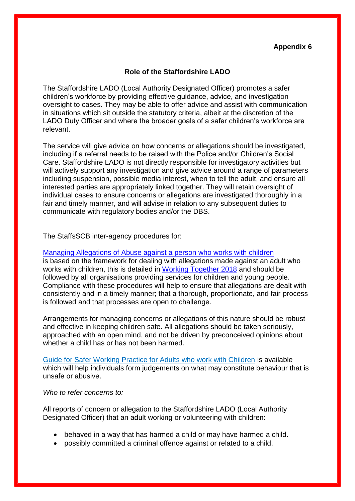#### **Appendix 6**

#### **Role of the Staffordshire LADO**

The Staffordshire LADO (Local Authority Designated Officer) promotes a safer children's workforce by providing effective guidance, advice, and investigation oversight to cases. They may be able to offer advice and assist with communication in situations which sit outside the statutory criteria, albeit at the discretion of the LADO Duty Officer and where the broader goals of a safer children's workforce are relevant.

The service will give advice on how concerns or allegations should be investigated, including if a referral needs to be raised with the Police and/or Children's Social Care. Staffordshire LADO is not directly responsible for investigatory activities but will actively support any investigation and give advice around a range of parameters including suspension, possible media interest, when to tell the adult, and ensure all interested parties are appropriately linked together. They will retain oversight of individual cases to ensure concerns or allegations are investigated thoroughly in a fair and timely manner, and will advise in relation to any subsequent duties to communicate with regulatory bodies and/or the DBS.

The StaffsSCB inter-agency procedures for:

[Managing Allegations of Abuse against a person who works with children](https://www.staffsscb.org.uk/wp-content/uploads/2020/09/Allegations-of-abuse-made-against-a-person-who-works-with-children.pdf) is based on the framework for dealing with allegations made against an adult who works with children, this is detailed in [Working Together 2018](https://www.gov.uk/government/publications/working-together-to-safeguard-children--2) and should be followed by all organisations providing services for children and young people. Compliance with these procedures will help to ensure that allegations are dealt with consistently and in a timely manner; that a thorough, proportionate, and fair process is followed and that processes are open to challenge.

Arrangements for managing concerns or allegations of this nature should be robust and effective in keeping children safe. All allegations should be taken seriously, approached with an open mind, and not be driven by preconceived opinions about whether a child has or has not been harmed.

[Guide for Safer Working Practice for Adults who work with Children](https://www.ssscb.org.uk/working-together-to-safeguard-children/) is available which will help individuals form judgements on what may constitute behaviour that is unsafe or abusive.

#### *Who to refer concerns to:*

All reports of concern or allegation to the Staffordshire LADO (Local Authority Designated Officer) that an adult working or volunteering with children:

- behaved in a way that has harmed a child or may have harmed a child.
- possibly committed a criminal offence against or related to a child.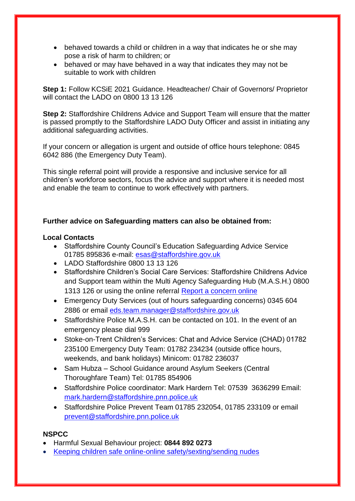- behaved towards a child or children in a way that indicates he or she may pose a risk of harm to children; or
- behaved or may have behaved in a way that indicates they may not be suitable to work with children

**Step 1:** Follow KCSiE 2021 Guidance. Headteacher/ Chair of Governors/ Proprietor will contact the LADO on 0800 13 13 126

**Step 2:** Staffordshire Childrens Advice and Support Team will ensure that the matter is passed promptly to the Staffordshire LADO Duty Officer and assist in initiating any additional safeguarding activities.

If your concern or allegation is urgent and outside of office hours telephone: 0845 6042 886 (the Emergency Duty Team).

This single referral point will provide a responsive and inclusive service for all children's workforce sectors, focus the advice and support where it is needed most and enable the team to continue to work effectively with partners.

#### **Further advice on Safeguarding matters can also be obtained from:**

#### **Local Contacts**

- Staffordshire County Council's Education Safeguarding Advice Service 01785 895836 e-mail: [esas@staffordshire.gov.uk](mailto:esas@staffordshire.gov.uk)
- LADO Staffordshire 0800 13 13 126
- Staffordshire Children's Social Care Services: Staffordshire Childrens Advice and Support team within the Multi Agency Safeguarding Hub (M.A.S.H.) 0800 1313 126 or using the online referral [Report a concern online](https://www.staffordshire.gov.uk/Care-for-children-and-families/Childprotection/Report-a-concern-online.aspx)
- Emergency Duty Services (out of hours safeguarding concerns) 0345 604 2886 or email [eds.team.manager@staffordshire.gov.uk](mailto:eds.team.manager@staffordshire.gov.uk)
- Staffordshire Police M.A.S.H. can be contacted on 101. In the event of an emergency please dial 999
- Stoke-on-Trent Children's Services: Chat and Advice Service (CHAD) 01782 235100 Emergency Duty Team: 01782 234234 (outside office hours, weekends, and bank holidays) Minicom: 01782 236037
- Sam Hubza School Guidance around Asylum Seekers (Central Thoroughfare Team) Tel: 01785 854906
- Staffordshire Police coordinator: Mark Hardern Tel: 07539 3636299 Email: [mark.hardern@staffordshire.pnn.police.uk](mailto:mark.hardern@staffordshire.pnn.police.uk)
- Staffordshire Police Prevent Team 01785 232054, 01785 233109 or email [prevent@staffordshire.pnn.police.uk](mailto:prevent@staffordshire.pnn.police.uk)

#### **NSPCC**

- Harmful Sexual Behaviour project: **0844 892 0273**
- [Keeping children safe online-online safety/sexting/sending nudes](https://www.nspcc.org.uk/keeping-children-safe/online-safety/sexting-sending-nudes/)